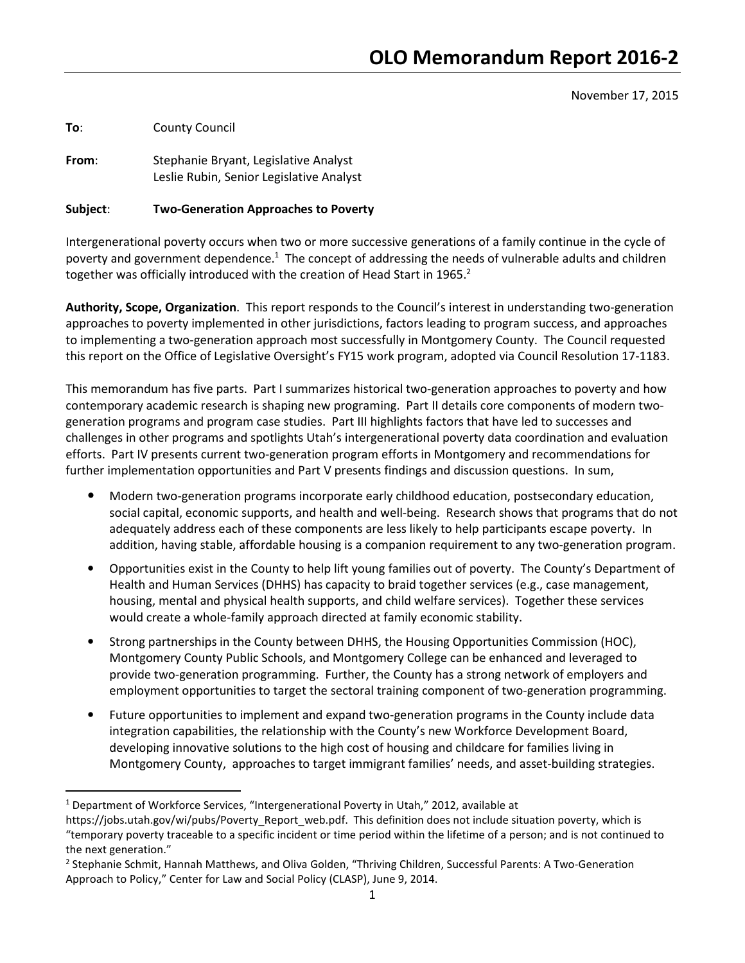November 17, 2015

To: County Council

 $\overline{a}$ 

From: Stephanie Bryant, Legislative Analyst Leslie Rubin, Senior Legislative Analyst

## Subject: Two-Generation Approaches to Poverty

Intergenerational poverty occurs when two or more successive generations of a family continue in the cycle of poverty and government dependence.<sup>1</sup> The concept of addressing the needs of vulnerable adults and children together was officially introduced with the creation of Head Start in 1965. $2$ 

Authority, Scope, Organization. This report responds to the Council's interest in understanding two-generation approaches to poverty implemented in other jurisdictions, factors leading to program success, and approaches to implementing a two-generation approach most successfully in Montgomery County. The Council requested this report on the Office of Legislative Oversight's FY15 work program, adopted via Council Resolution 17-1183.

This memorandum has five parts. Part I summarizes historical two-generation approaches to poverty and how contemporary academic research is shaping new programing. Part II details core components of modern twogeneration programs and program case studies. Part III highlights factors that have led to successes and challenges in other programs and spotlights Utah's intergenerational poverty data coordination and evaluation efforts. Part IV presents current two-generation program efforts in Montgomery and recommendations for further implementation opportunities and Part V presents findings and discussion questions. In sum,

- Modern two-generation programs incorporate early childhood education, postsecondary education, social capital, economic supports, and health and well-being. Research shows that programs that do not adequately address each of these components are less likely to help participants escape poverty. In addition, having stable, affordable housing is a companion requirement to any two-generation program.
- Opportunities exist in the County to help lift young families out of poverty. The County's Department of Health and Human Services (DHHS) has capacity to braid together services (e.g., case management, housing, mental and physical health supports, and child welfare services). Together these services would create a whole-family approach directed at family economic stability.
- Strong partnerships in the County between DHHS, the Housing Opportunities Commission (HOC), Montgomery County Public Schools, and Montgomery College can be enhanced and leveraged to provide two-generation programming. Further, the County has a strong network of employers and employment opportunities to target the sectoral training component of two-generation programming.
- Future opportunities to implement and expand two-generation programs in the County include data integration capabilities, the relationship with the County's new Workforce Development Board, developing innovative solutions to the high cost of housing and childcare for families living in Montgomery County, approaches to target immigrant families' needs, and asset-building strategies.

<sup>&</sup>lt;sup>1</sup> Department of Workforce Services, "Intergenerational Poverty in Utah," 2012, available at

https://jobs.utah.gov/wi/pubs/Poverty\_Report\_web.pdf. This definition does not include situation poverty, which is "temporary poverty traceable to a specific incident or time period within the lifetime of a person; and is not continued to the next generation."

<sup>&</sup>lt;sup>2</sup> Stephanie Schmit, Hannah Matthews, and Oliva Golden, "Thriving Children, Successful Parents: A Two-Generation Approach to Policy," Center for Law and Social Policy (CLASP), June 9, 2014.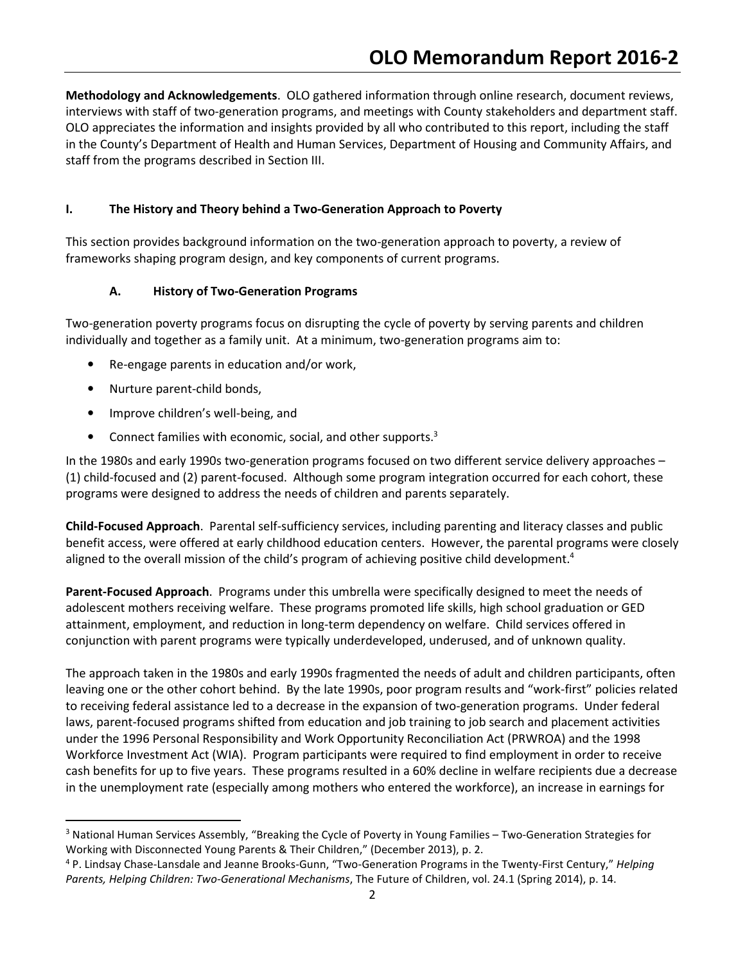Methodology and Acknowledgements. OLO gathered information through online research, document reviews, interviews with staff of two-generation programs, and meetings with County stakeholders and department staff. OLO appreciates the information and insights provided by all who contributed to this report, including the staff in the County's Department of Health and Human Services, Department of Housing and Community Affairs, and staff from the programs described in Section III.

## I. The History and Theory behind a Two-Generation Approach to Poverty

This section provides background information on the two-generation approach to poverty, a review of frameworks shaping program design, and key components of current programs.

## A. History of Two-Generation Programs

Two-generation poverty programs focus on disrupting the cycle of poverty by serving parents and children individually and together as a family unit. At a minimum, two-generation programs aim to:

- Re-engage parents in education and/or work,
- Nurture parent-child bonds,

 $\overline{a}$ 

- Improve children's well-being, and
- Connect families with economic, social, and other supports. $3$

In the 1980s and early 1990s two-generation programs focused on two different service delivery approaches – (1) child-focused and (2) parent-focused. Although some program integration occurred for each cohort, these programs were designed to address the needs of children and parents separately.

Child-Focused Approach. Parental self-sufficiency services, including parenting and literacy classes and public benefit access, were offered at early childhood education centers. However, the parental programs were closely aligned to the overall mission of the child's program of achieving positive child development.<sup>4</sup>

Parent-Focused Approach. Programs under this umbrella were specifically designed to meet the needs of adolescent mothers receiving welfare. These programs promoted life skills, high school graduation or GED attainment, employment, and reduction in long-term dependency on welfare. Child services offered in conjunction with parent programs were typically underdeveloped, underused, and of unknown quality.

The approach taken in the 1980s and early 1990s fragmented the needs of adult and children participants, often leaving one or the other cohort behind. By the late 1990s, poor program results and "work-first" policies related to receiving federal assistance led to a decrease in the expansion of two-generation programs. Under federal laws, parent-focused programs shifted from education and job training to job search and placement activities under the 1996 Personal Responsibility and Work Opportunity Reconciliation Act (PRWROA) and the 1998 Workforce Investment Act (WIA). Program participants were required to find employment in order to receive cash benefits for up to five years. These programs resulted in a 60% decline in welfare recipients due a decrease in the unemployment rate (especially among mothers who entered the workforce), an increase in earnings for

<sup>&</sup>lt;sup>3</sup> National Human Services Assembly, "Breaking the Cycle of Poverty in Young Families – Two-Generation Strategies for Working with Disconnected Young Parents & Their Children," (December 2013), p. 2.

<sup>&</sup>lt;sup>4</sup> P. Lindsay Chase-Lansdale and Jeanne Brooks-Gunn, "Two-Generation Programs in the Twenty-First Century," Helping Parents, Helping Children: Two-Generational Mechanisms, The Future of Children, vol. 24.1 (Spring 2014), p. 14.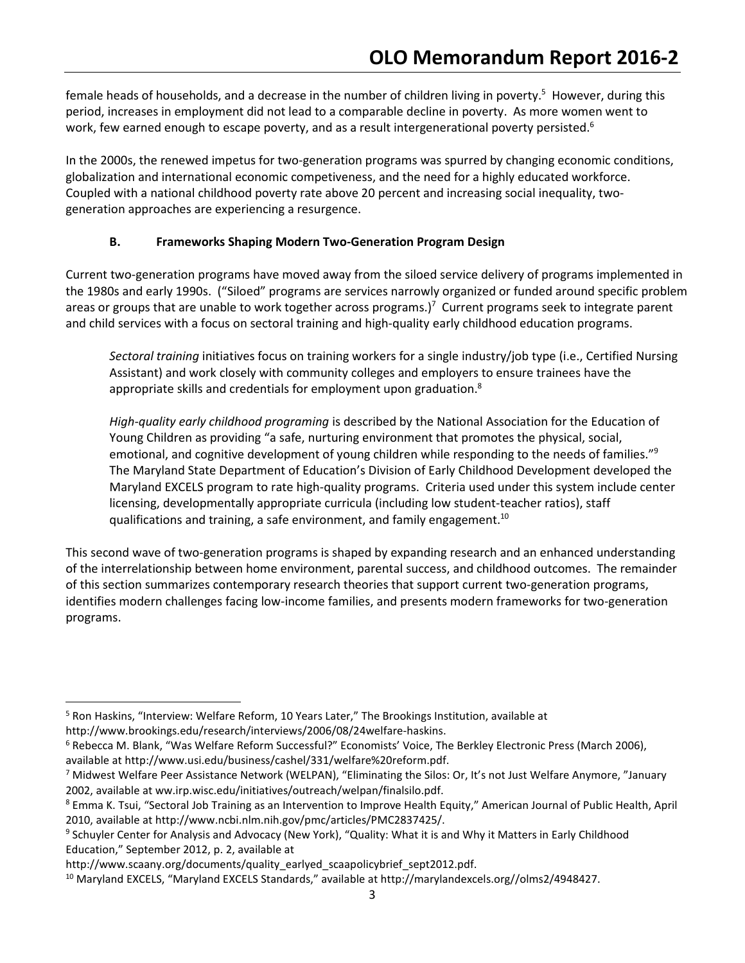female heads of households, and a decrease in the number of children living in poverty.<sup>5</sup> However, during this period, increases in employment did not lead to a comparable decline in poverty. As more women went to work, few earned enough to escape poverty, and as a result intergenerational poverty persisted.<sup>6</sup>

In the 2000s, the renewed impetus for two-generation programs was spurred by changing economic conditions, globalization and international economic competiveness, and the need for a highly educated workforce. Coupled with a national childhood poverty rate above 20 percent and increasing social inequality, twogeneration approaches are experiencing a resurgence.

# B. Frameworks Shaping Modern Two-Generation Program Design

Current two-generation programs have moved away from the siloed service delivery of programs implemented in the 1980s and early 1990s. ("Siloed" programs are services narrowly organized or funded around specific problem areas or groups that are unable to work together across programs.)<sup>7</sup> Current programs seek to integrate parent and child services with a focus on sectoral training and high-quality early childhood education programs.

Sectoral training initiatives focus on training workers for a single industry/job type (i.e., Certified Nursing Assistant) and work closely with community colleges and employers to ensure trainees have the appropriate skills and credentials for employment upon graduation. $8$ 

High-quality early childhood programing is described by the National Association for the Education of Young Children as providing "a safe, nurturing environment that promotes the physical, social, emotional, and cognitive development of young children while responding to the needs of families."<sup>9</sup> The Maryland State Department of Education's Division of Early Childhood Development developed the Maryland EXCELS program to rate high-quality programs. Criteria used under this system include center licensing, developmentally appropriate curricula (including low student-teacher ratios), staff qualifications and training, a safe environment, and family engagement.<sup>10</sup>

This second wave of two-generation programs is shaped by expanding research and an enhanced understanding of the interrelationship between home environment, parental success, and childhood outcomes. The remainder of this section summarizes contemporary research theories that support current two-generation programs, identifies modern challenges facing low-income families, and presents modern frameworks for two-generation programs.

<u>.</u>

<sup>&</sup>lt;sup>5</sup> Ron Haskins, "Interview: Welfare Reform, 10 Years Later," The Brookings Institution, available at http://www.brookings.edu/research/interviews/2006/08/24welfare-haskins.

<sup>6</sup> Rebecca M. Blank, "Was Welfare Reform Successful?" Economists' Voice, The Berkley Electronic Press (March 2006), available at http://www.usi.edu/business/cashel/331/welfare%20reform.pdf.

<sup>&</sup>lt;sup>7</sup> Midwest Welfare Peer Assistance Network (WELPAN), "Eliminating the Silos: Or, It's not Just Welfare Anymore, "January 2002, available at ww.irp.wisc.edu/initiatives/outreach/welpan/finalsilo.pdf.

<sup>&</sup>lt;sup>8</sup> Emma K. Tsui, "Sectoral Job Training as an Intervention to Improve Health Equity," American Journal of Public Health, April 2010, available at http://www.ncbi.nlm.nih.gov/pmc/articles/PMC2837425/.

<sup>&</sup>lt;sup>9</sup> Schuyler Center for Analysis and Advocacy (New York), "Quality: What it is and Why it Matters in Early Childhood Education," September 2012, p. 2, available at

http://www.scaany.org/documents/quality\_earlyed\_scaapolicybrief\_sept2012.pdf.

<sup>10</sup> Maryland EXCELS, "Maryland EXCELS Standards," available at http://marylandexcels.org//olms2/4948427.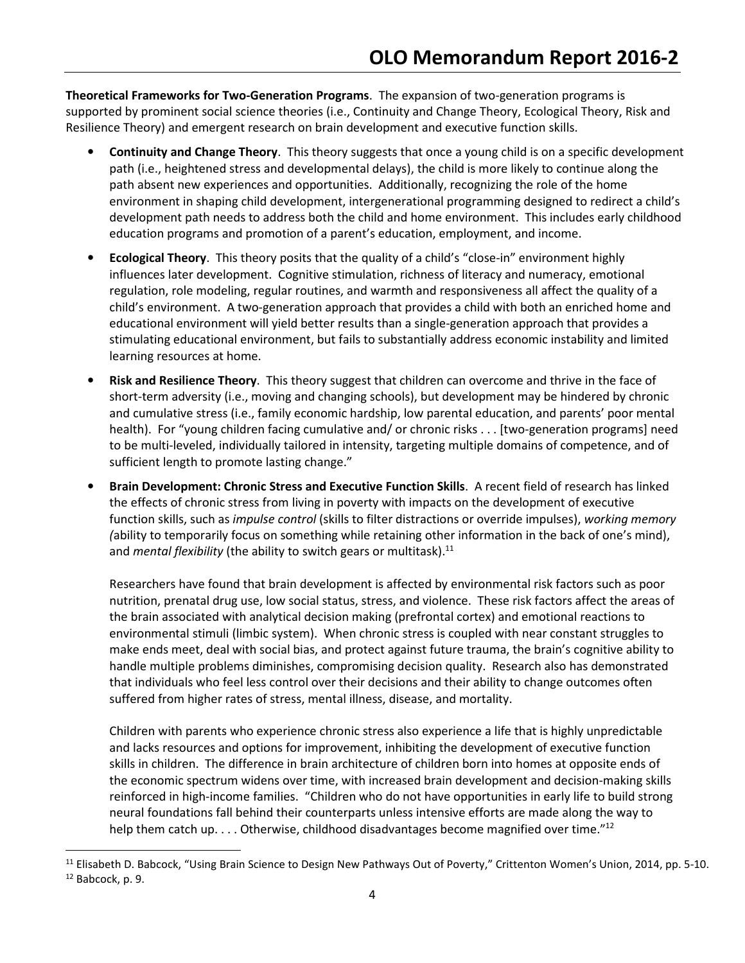Theoretical Frameworks for Two-Generation Programs. The expansion of two-generation programs is supported by prominent social science theories (i.e., Continuity and Change Theory, Ecological Theory, Risk and Resilience Theory) and emergent research on brain development and executive function skills.

- Continuity and Change Theory. This theory suggests that once a young child is on a specific development path (i.e., heightened stress and developmental delays), the child is more likely to continue along the path absent new experiences and opportunities. Additionally, recognizing the role of the home environment in shaping child development, intergenerational programming designed to redirect a child's development path needs to address both the child and home environment. This includes early childhood education programs and promotion of a parent's education, employment, and income.
- Ecological Theory. This theory posits that the quality of a child's "close-in" environment highly influences later development. Cognitive stimulation, richness of literacy and numeracy, emotional regulation, role modeling, regular routines, and warmth and responsiveness all affect the quality of a child's environment. A two-generation approach that provides a child with both an enriched home and educational environment will yield better results than a single-generation approach that provides a stimulating educational environment, but fails to substantially address economic instability and limited learning resources at home.
- Risk and Resilience Theory. This theory suggest that children can overcome and thrive in the face of short-term adversity (i.e., moving and changing schools), but development may be hindered by chronic and cumulative stress (i.e., family economic hardship, low parental education, and parents' poor mental health). For "young children facing cumulative and/ or chronic risks . . . [two-generation programs] need to be multi-leveled, individually tailored in intensity, targeting multiple domains of competence, and of sufficient length to promote lasting change."
- Brain Development: Chronic Stress and Executive Function Skills. A recent field of research has linked the effects of chronic stress from living in poverty with impacts on the development of executive function skills, such as *impulse control* (skills to filter distractions or override impulses), working memory (ability to temporarily focus on something while retaining other information in the back of one's mind), and *mental flexibility* (the ability to switch gears or multitask).<sup>11</sup>

Researchers have found that brain development is affected by environmental risk factors such as poor nutrition, prenatal drug use, low social status, stress, and violence. These risk factors affect the areas of the brain associated with analytical decision making (prefrontal cortex) and emotional reactions to environmental stimuli (limbic system). When chronic stress is coupled with near constant struggles to make ends meet, deal with social bias, and protect against future trauma, the brain's cognitive ability to handle multiple problems diminishes, compromising decision quality. Research also has demonstrated that individuals who feel less control over their decisions and their ability to change outcomes often suffered from higher rates of stress, mental illness, disease, and mortality.

Children with parents who experience chronic stress also experience a life that is highly unpredictable and lacks resources and options for improvement, inhibiting the development of executive function skills in children. The difference in brain architecture of children born into homes at opposite ends of the economic spectrum widens over time, with increased brain development and decision-making skills reinforced in high-income families. "Children who do not have opportunities in early life to build strong neural foundations fall behind their counterparts unless intensive efforts are made along the way to help them catch up. . . . Otherwise, childhood disadvantages become magnified over time."<sup>12</sup>

 $\overline{\phantom{0}}$ 

<sup>&</sup>lt;sup>11</sup> Elisabeth D. Babcock, "Using Brain Science to Design New Pathways Out of Poverty," Crittenton Women's Union, 2014, pp. 5-10.

<sup>12</sup> Babcock, p. 9.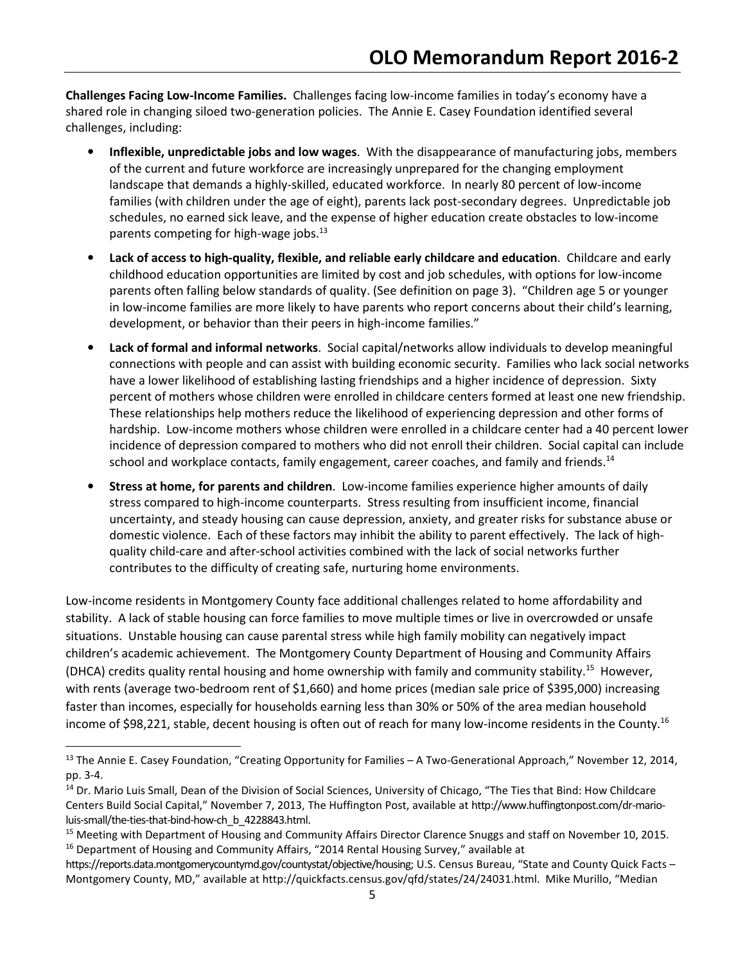Challenges Facing Low-Income Families. Challenges facing low-income families in today's economy have a shared role in changing siloed two-generation policies. The Annie E. Casey Foundation identified several challenges, including:

- Inflexible, unpredictable jobs and low wages. With the disappearance of manufacturing jobs, members of the current and future workforce are increasingly unprepared for the changing employment landscape that demands a highly-skilled, educated workforce. In nearly 80 percent of low-income families (with children under the age of eight), parents lack post-secondary degrees. Unpredictable job schedules, no earned sick leave, and the expense of higher education create obstacles to low-income parents competing for high-wage jobs.<sup>13</sup>
- Lack of access to high-quality, flexible, and reliable early childcare and education. Childcare and early childhood education opportunities are limited by cost and job schedules, with options for low-income parents often falling below standards of quality. (See definition on page 3). "Children age 5 or younger in low-income families are more likely to have parents who report concerns about their child's learning, development, or behavior than their peers in high-income families."
- Lack of formal and informal networks. Social capital/networks allow individuals to develop meaningful connections with people and can assist with building economic security. Families who lack social networks have a lower likelihood of establishing lasting friendships and a higher incidence of depression. Sixty percent of mothers whose children were enrolled in childcare centers formed at least one new friendship. These relationships help mothers reduce the likelihood of experiencing depression and other forms of hardship. Low-income mothers whose children were enrolled in a childcare center had a 40 percent lower incidence of depression compared to mothers who did not enroll their children. Social capital can include school and workplace contacts, family engagement, career coaches, and family and friends.<sup>14</sup>
- Stress at home, for parents and children. Low-income families experience higher amounts of daily stress compared to high-income counterparts. Stress resulting from insufficient income, financial uncertainty, and steady housing can cause depression, anxiety, and greater risks for substance abuse or domestic violence. Each of these factors may inhibit the ability to parent effectively. The lack of highquality child-care and after-school activities combined with the lack of social networks further contributes to the difficulty of creating safe, nurturing home environments.

Low-income residents in Montgomery County face additional challenges related to home affordability and stability. A lack of stable housing can force families to move multiple times or live in overcrowded or unsafe situations. Unstable housing can cause parental stress while high family mobility can negatively impact children's academic achievement. The Montgomery County Department of Housing and Community Affairs (DHCA) credits quality rental housing and home ownership with family and community stability.<sup>15</sup> However, with rents (average two-bedroom rent of \$1,660) and home prices (median sale price of \$395,000) increasing faster than incomes, especially for households earning less than 30% or 50% of the area median household income of \$98,221, stable, decent housing is often out of reach for many low-income residents in the County.<sup>16</sup>

-

<sup>&</sup>lt;sup>13</sup> The Annie E. Casey Foundation, "Creating Opportunity for Families – A Two-Generational Approach," November 12, 2014, pp. 3-4.

<sup>&</sup>lt;sup>14</sup> Dr. Mario Luis Small, Dean of the Division of Social Sciences, University of Chicago, "The Ties that Bind: How Childcare Centers Build Social Capital," November 7, 2013, The Huffington Post, available at http://www.huffingtonpost.com/dr-marioluis-small/the-ties-that-bind-how-ch\_b\_4228843.html.

<sup>&</sup>lt;sup>15</sup> Meeting with Department of Housing and Community Affairs Director Clarence Snuggs and staff on November 10, 2015. <sup>16</sup> Department of Housing and Community Affairs, "2014 Rental Housing Survey," available at

https://reports.data.montgomerycountymd.gov/countystat/objective/housing; U.S. Census Bureau, "State and County Quick Facts – Montgomery County, MD," available at http://quickfacts.census.gov/qfd/states/24/24031.html. Mike Murillo, "Median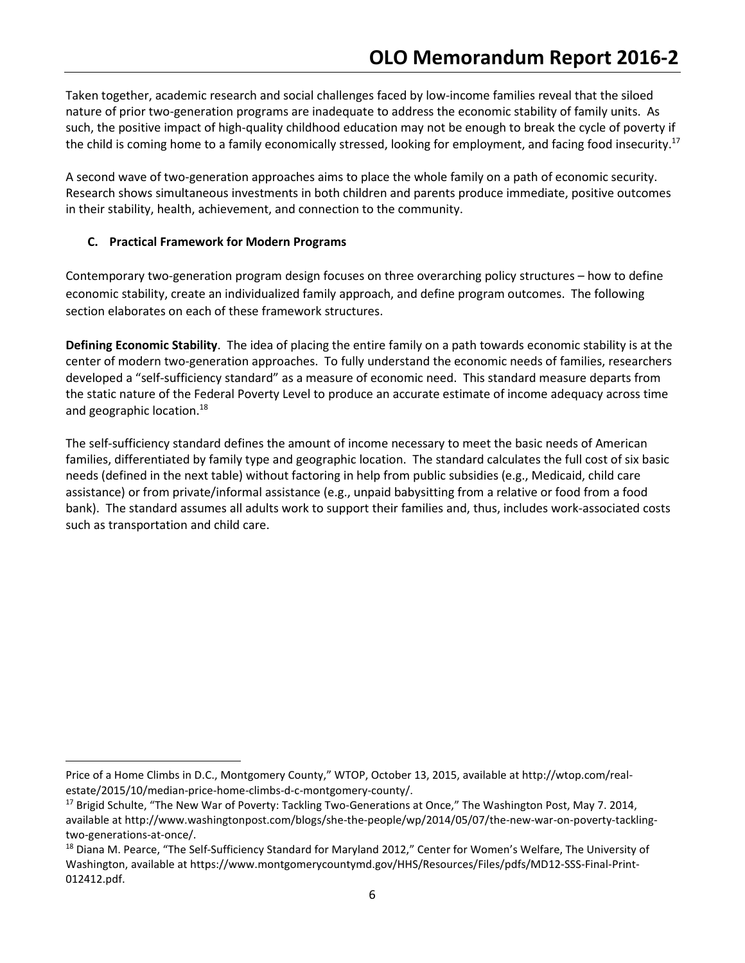Taken together, academic research and social challenges faced by low-income families reveal that the siloed nature of prior two-generation programs are inadequate to address the economic stability of family units. As such, the positive impact of high-quality childhood education may not be enough to break the cycle of poverty if the child is coming home to a family economically stressed, looking for employment, and facing food insecurity.<sup>17</sup>

A second wave of two-generation approaches aims to place the whole family on a path of economic security. Research shows simultaneous investments in both children and parents produce immediate, positive outcomes in their stability, health, achievement, and connection to the community.

# C. Practical Framework for Modern Programs

 $\overline{a}$ 

Contemporary two-generation program design focuses on three overarching policy structures – how to define economic stability, create an individualized family approach, and define program outcomes. The following section elaborates on each of these framework structures.

Defining Economic Stability. The idea of placing the entire family on a path towards economic stability is at the center of modern two-generation approaches. To fully understand the economic needs of families, researchers developed a "self-sufficiency standard" as a measure of economic need. This standard measure departs from the static nature of the Federal Poverty Level to produce an accurate estimate of income adequacy across time and geographic location.<sup>18</sup>

The self-sufficiency standard defines the amount of income necessary to meet the basic needs of American families, differentiated by family type and geographic location. The standard calculates the full cost of six basic needs (defined in the next table) without factoring in help from public subsidies (e.g., Medicaid, child care assistance) or from private/informal assistance (e.g., unpaid babysitting from a relative or food from a food bank). The standard assumes all adults work to support their families and, thus, includes work-associated costs such as transportation and child care.

Price of a Home Climbs in D.C., Montgomery County," WTOP, October 13, 2015, available at http://wtop.com/realestate/2015/10/median-price-home-climbs-d-c-montgomery-county/.

<sup>&</sup>lt;sup>17</sup> Brigid Schulte, "The New War of Poverty: Tackling Two-Generations at Once," The Washington Post, May 7. 2014, available at http://www.washingtonpost.com/blogs/she-the-people/wp/2014/05/07/the-new-war-on-poverty-tacklingtwo-generations-at-once/.

<sup>&</sup>lt;sup>18</sup> Diana M. Pearce, "The Self-Sufficiency Standard for Maryland 2012," Center for Women's Welfare, The University of Washington, available at https://www.montgomerycountymd.gov/HHS/Resources/Files/pdfs/MD12-SSS-Final-Print-012412.pdf.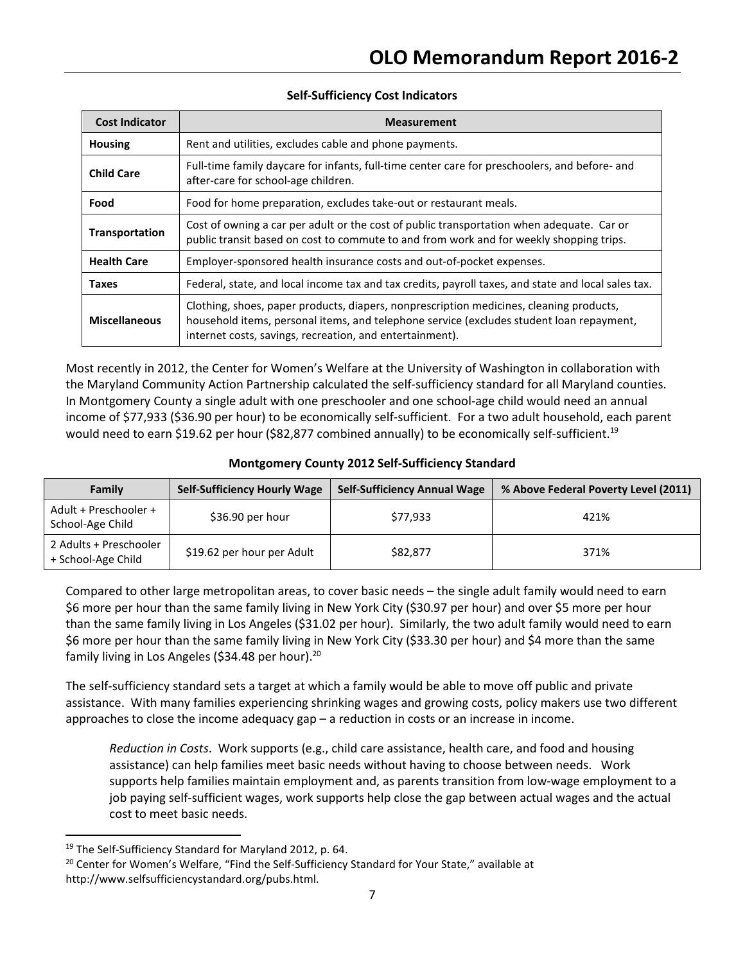### Self-Sufficiency Cost Indicators

| <b>Cost Indicator</b> | <b>Measurement</b>                                                                                                                                                                                                                              |  |
|-----------------------|-------------------------------------------------------------------------------------------------------------------------------------------------------------------------------------------------------------------------------------------------|--|
| <b>Housing</b>        | Rent and utilities, excludes cable and phone payments.                                                                                                                                                                                          |  |
| <b>Child Care</b>     | Full-time family daycare for infants, full-time center care for preschoolers, and before- and<br>after-care for school-age children.                                                                                                            |  |
| Food                  | Food for home preparation, excludes take-out or restaurant meals.                                                                                                                                                                               |  |
| Transportation        | Cost of owning a car per adult or the cost of public transportation when adequate. Car or<br>public transit based on cost to commute to and from work and for weekly shopping trips.                                                            |  |
| <b>Health Care</b>    | Employer-sponsored health insurance costs and out-of-pocket expenses.                                                                                                                                                                           |  |
| <b>Taxes</b>          | Federal, state, and local income tax and tax credits, payroll taxes, and state and local sales tax.                                                                                                                                             |  |
| <b>Miscellaneous</b>  | Clothing, shoes, paper products, diapers, nonprescription medicines, cleaning products,<br>household items, personal items, and telephone service (excludes student loan repayment,<br>internet costs, savings, recreation, and entertainment). |  |

Most recently in 2012, the Center for Women's Welfare at the University of Washington in collaboration with the Maryland Community Action Partnership calculated the self-sufficiency standard for all Maryland counties. In Montgomery County a single adult with one preschooler and one school-age child would need an annual income of \$77,933 (\$36.90 per hour) to be economically self-sufficient. For a two adult household, each parent would need to earn \$19.62 per hour (\$82,877 combined annually) to be economically self-sufficient.<sup>19</sup>

## Montgomery County 2012 Self-Sufficiency Standard

| Family                                       | <b>Self-Sufficiency Hourly Wage</b> | <b>Self-Sufficiency Annual Wage</b> | % Above Federal Poverty Level (2011) |
|----------------------------------------------|-------------------------------------|-------------------------------------|--------------------------------------|
| Adult + Preschooler +<br>School-Age Child    | \$36.90 per hour                    | \$77,933                            | 421%                                 |
| 2 Adults + Preschooler<br>+ School-Age Child | \$19.62 per hour per Adult          | \$82,877                            | 371%                                 |

Compared to other large metropolitan areas, to cover basic needs – the single adult family would need to earn \$6 more per hour than the same family living in New York City (\$30.97 per hour) and over \$5 more per hour than the same family living in Los Angeles (\$31.02 per hour). Similarly, the two adult family would need to earn \$6 more per hour than the same family living in New York City (\$33.30 per hour) and \$4 more than the same family living in Los Angeles (\$34.48 per hour).<sup>20</sup>

The self-sufficiency standard sets a target at which a family would be able to move off public and private assistance. With many families experiencing shrinking wages and growing costs, policy makers use two different approaches to close the income adequacy gap – a reduction in costs or an increase in income.

Reduction in Costs. Work supports (e.g., child care assistance, health care, and food and housing assistance) can help families meet basic needs without having to choose between needs. Work supports help families maintain employment and, as parents transition from low-wage employment to a job paying self-sufficient wages, work supports help close the gap between actual wages and the actual cost to meet basic needs.

<sup>19</sup> The Self-Sufficiency Standard for Maryland 2012, p. 64.

<sup>&</sup>lt;sup>20</sup> Center for Women's Welfare, "Find the Self-Sufficiency Standard for Your State," available at http://www.selfsufficiencystandard.org/pubs.html.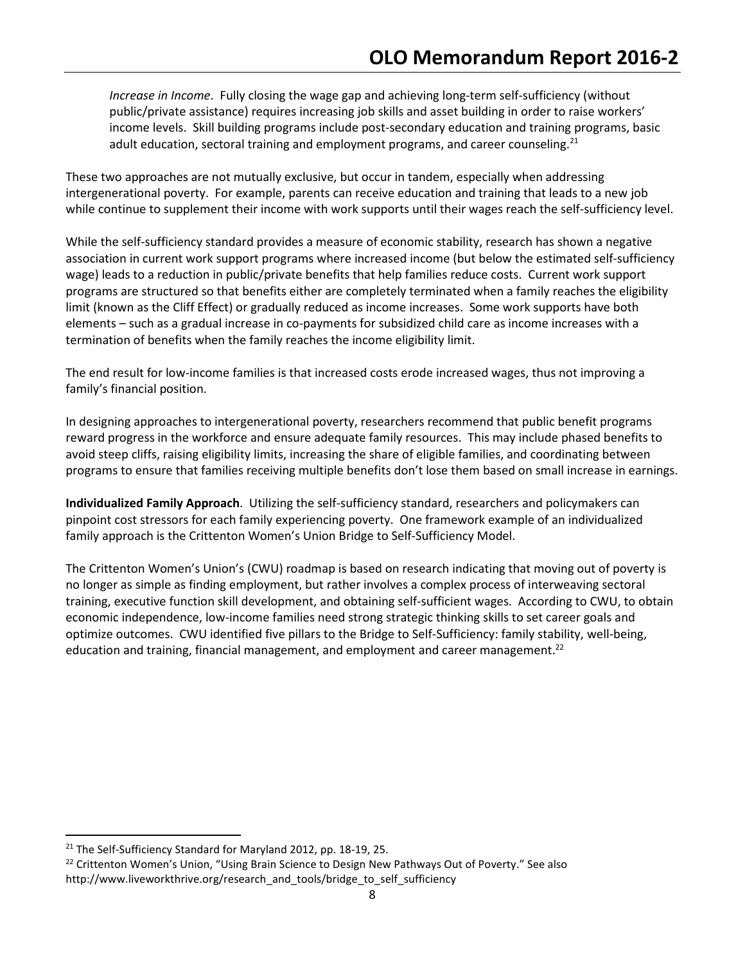Increase in Income. Fully closing the wage gap and achieving long-term self-sufficiency (without public/private assistance) requires increasing job skills and asset building in order to raise workers' income levels. Skill building programs include post-secondary education and training programs, basic adult education, sectoral training and employment programs, and career counseling.<sup>21</sup>

These two approaches are not mutually exclusive, but occur in tandem, especially when addressing intergenerational poverty. For example, parents can receive education and training that leads to a new job while continue to supplement their income with work supports until their wages reach the self-sufficiency level.

While the self-sufficiency standard provides a measure of economic stability, research has shown a negative association in current work support programs where increased income (but below the estimated self-sufficiency wage) leads to a reduction in public/private benefits that help families reduce costs. Current work support programs are structured so that benefits either are completely terminated when a family reaches the eligibility limit (known as the Cliff Effect) or gradually reduced as income increases. Some work supports have both elements – such as a gradual increase in co-payments for subsidized child care as income increases with a termination of benefits when the family reaches the income eligibility limit.

The end result for low-income families is that increased costs erode increased wages, thus not improving a family's financial position.

In designing approaches to intergenerational poverty, researchers recommend that public benefit programs reward progress in the workforce and ensure adequate family resources. This may include phased benefits to avoid steep cliffs, raising eligibility limits, increasing the share of eligible families, and coordinating between programs to ensure that families receiving multiple benefits don't lose them based on small increase in earnings.

Individualized Family Approach. Utilizing the self-sufficiency standard, researchers and policymakers can pinpoint cost stressors for each family experiencing poverty. One framework example of an individualized family approach is the Crittenton Women's Union Bridge to Self-Sufficiency Model.

The Crittenton Women's Union's (CWU) roadmap is based on research indicating that moving out of poverty is no longer as simple as finding employment, but rather involves a complex process of interweaving sectoral training, executive function skill development, and obtaining self-sufficient wages. According to CWU, to obtain economic independence, low-income families need strong strategic thinking skills to set career goals and optimize outcomes. CWU identified five pillars to the Bridge to Self-Sufficiency: family stability, well-being, education and training, financial management, and employment and career management.<sup>22</sup>

-

<sup>&</sup>lt;sup>21</sup> The Self-Sufficiency Standard for Maryland 2012, pp. 18-19, 25.

<sup>&</sup>lt;sup>22</sup> Crittenton Women's Union, "Using Brain Science to Design New Pathways Out of Poverty." See also http://www.liveworkthrive.org/research\_and\_tools/bridge\_to\_self\_sufficiency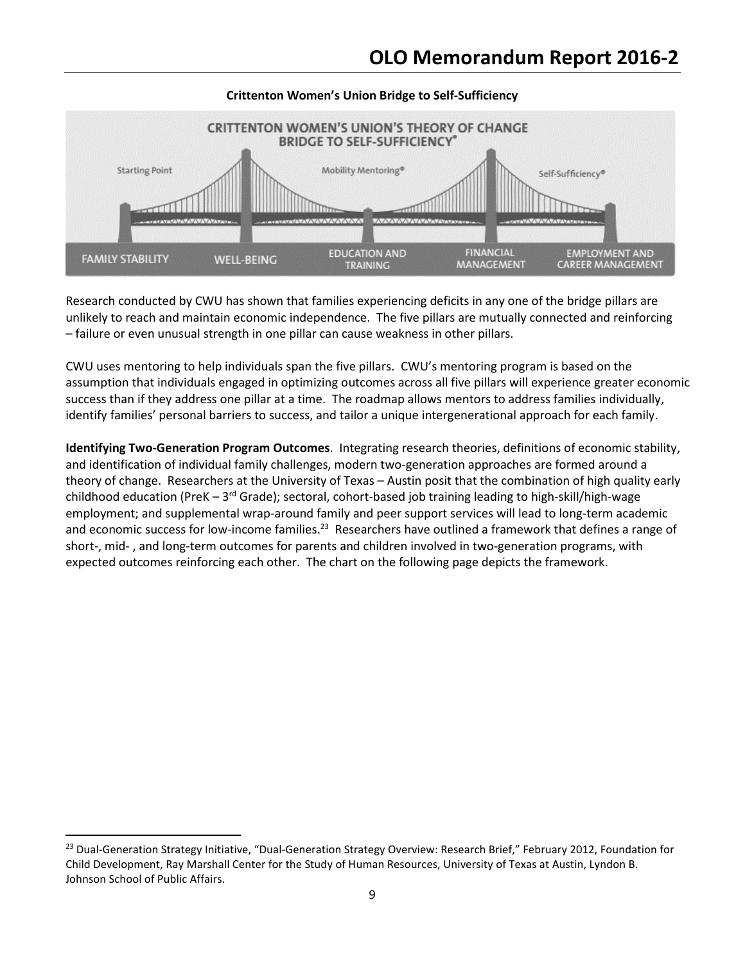

# Crittenton Women's Union Bridge to Self-Sufficiency

Research conducted by CWU has shown that families experiencing deficits in any one of the bridge pillars are unlikely to reach and maintain economic independence. The five pillars are mutually connected and reinforcing – failure or even unusual strength in one pillar can cause weakness in other pillars.

CWU uses mentoring to help individuals span the five pillars. CWU's mentoring program is based on the assumption that individuals engaged in optimizing outcomes across all five pillars will experience greater economic success than if they address one pillar at a time. The roadmap allows mentors to address families individually, identify families' personal barriers to success, and tailor a unique intergenerational approach for each family.

Identifying Two-Generation Program Outcomes. Integrating research theories, definitions of economic stability, and identification of individual family challenges, modern two-generation approaches are formed around a theory of change. Researchers at the University of Texas – Austin posit that the combination of high quality early childhood education (PreK –  $3^{rd}$  Grade); sectoral, cohort-based job training leading to high-skill/high-wage employment; and supplemental wrap-around family and peer support services will lead to long-term academic and economic success for low-income families.<sup>23</sup> Researchers have outlined a framework that defines a range of short-, mid- , and long-term outcomes for parents and children involved in two-generation programs, with expected outcomes reinforcing each other. The chart on the following page depicts the framework.

-

<sup>&</sup>lt;sup>23</sup> Dual-Generation Strategy Initiative, "Dual-Generation Strategy Overview: Research Brief," February 2012, Foundation for Child Development, Ray Marshall Center for the Study of Human Resources, University of Texas at Austin, Lyndon B. Johnson School of Public Affairs.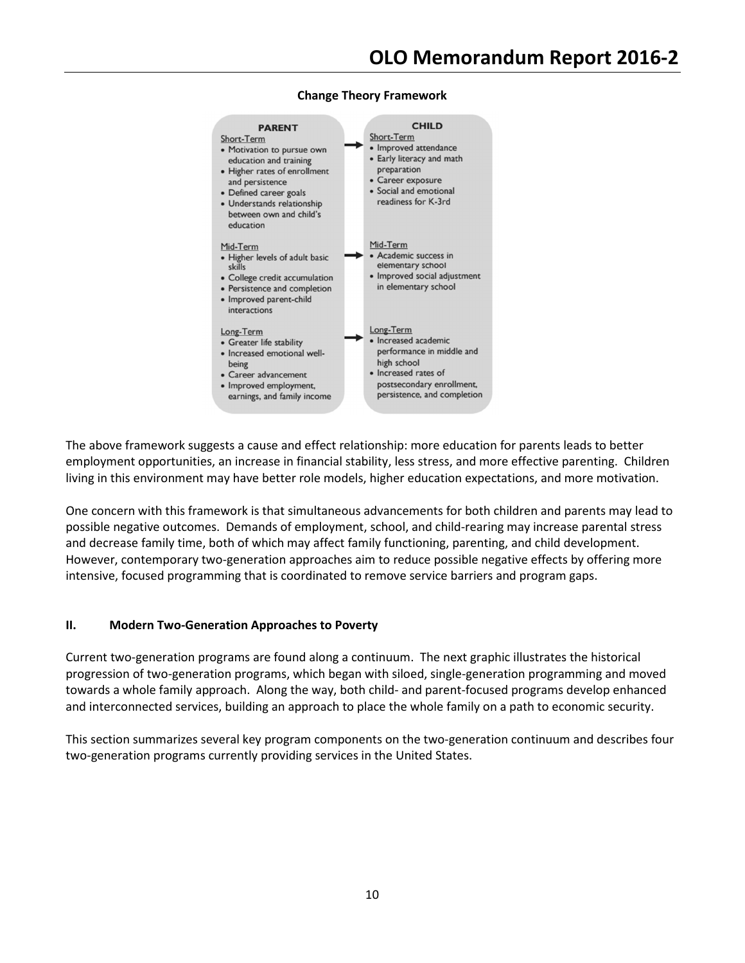

#### Change Theory Framework

The above framework suggests a cause and effect relationship: more education for parents leads to better employment opportunities, an increase in financial stability, less stress, and more effective parenting. Children living in this environment may have better role models, higher education expectations, and more motivation.

One concern with this framework is that simultaneous advancements for both children and parents may lead to possible negative outcomes. Demands of employment, school, and child-rearing may increase parental stress and decrease family time, both of which may affect family functioning, parenting, and child development. However, contemporary two-generation approaches aim to reduce possible negative effects by offering more intensive, focused programming that is coordinated to remove service barriers and program gaps.

### II. Modern Two-Generation Approaches to Poverty

Current two-generation programs are found along a continuum. The next graphic illustrates the historical progression of two-generation programs, which began with siloed, single-generation programming and moved towards a whole family approach. Along the way, both child- and parent-focused programs develop enhanced and interconnected services, building an approach to place the whole family on a path to economic security.

This section summarizes several key program components on the two-generation continuum and describes four two-generation programs currently providing services in the United States.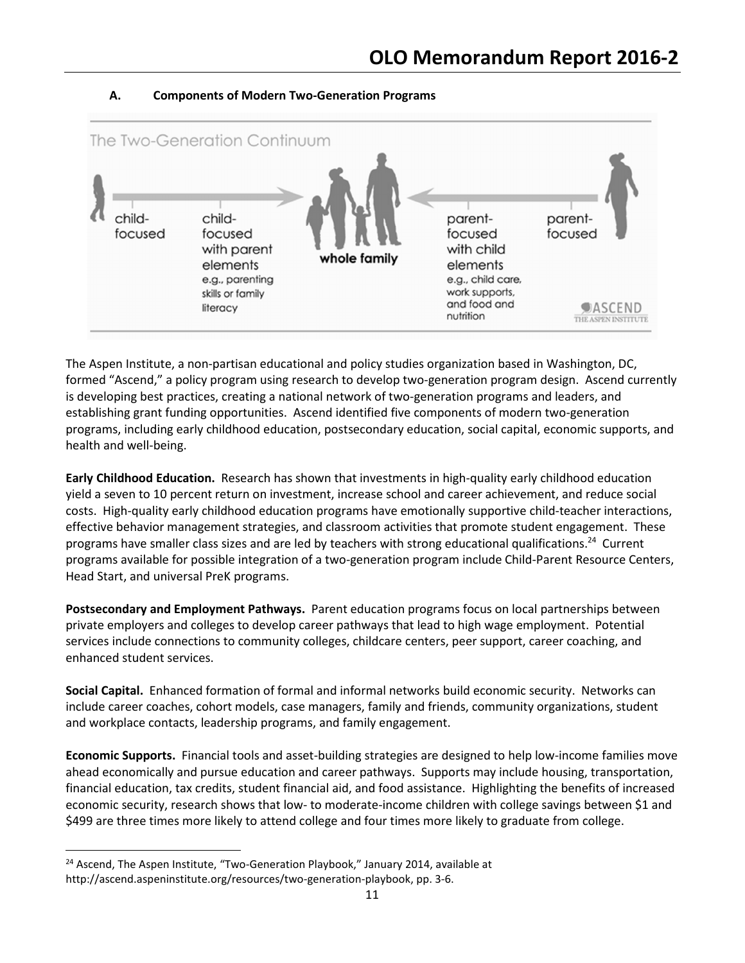

### A. Components of Modern Two-Generation Programs

The Aspen Institute, a non-partisan educational and policy studies organization based in Washington, DC, formed "Ascend," a policy program using research to develop two-generation program design. Ascend currently is developing best practices, creating a national network of two-generation programs and leaders, and establishing grant funding opportunities. Ascend identified five components of modern two-generation programs, including early childhood education, postsecondary education, social capital, economic supports, and health and well-being.

Early Childhood Education. Research has shown that investments in high-quality early childhood education yield a seven to 10 percent return on investment, increase school and career achievement, and reduce social costs. High-quality early childhood education programs have emotionally supportive child-teacher interactions, effective behavior management strategies, and classroom activities that promote student engagement. These programs have smaller class sizes and are led by teachers with strong educational qualifications.<sup>24</sup> Current programs available for possible integration of a two-generation program include Child-Parent Resource Centers, Head Start, and universal PreK programs.

Postsecondary and Employment Pathways. Parent education programs focus on local partnerships between private employers and colleges to develop career pathways that lead to high wage employment. Potential services include connections to community colleges, childcare centers, peer support, career coaching, and enhanced student services.

Social Capital. Enhanced formation of formal and informal networks build economic security. Networks can include career coaches, cohort models, case managers, family and friends, community organizations, student and workplace contacts, leadership programs, and family engagement.

Economic Supports. Financial tools and asset-building strategies are designed to help low-income families move ahead economically and pursue education and career pathways. Supports may include housing, transportation, financial education, tax credits, student financial aid, and food assistance. Highlighting the benefits of increased economic security, research shows that low- to moderate-income children with college savings between \$1 and \$499 are three times more likely to attend college and four times more likely to graduate from college.

 $\overline{\phantom{0}}$ 

<sup>&</sup>lt;sup>24</sup> Ascend, The Aspen Institute, "Two-Generation Playbook," January 2014, available at http://ascend.aspeninstitute.org/resources/two-generation-playbook, pp. 3-6.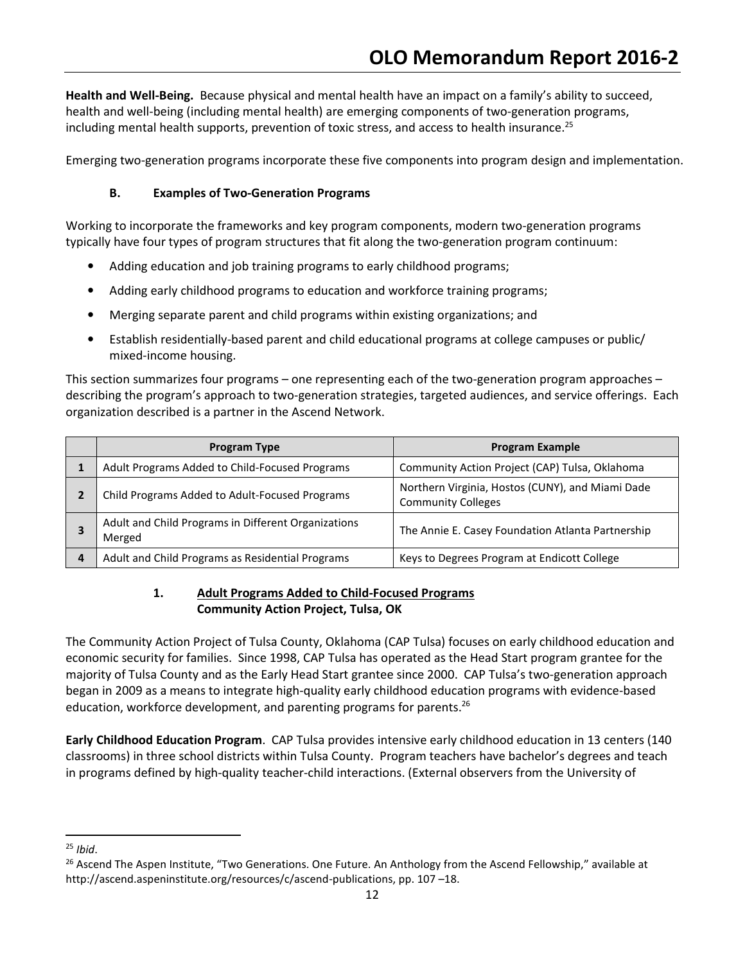Health and Well-Being. Because physical and mental health have an impact on a family's ability to succeed, health and well-being (including mental health) are emerging components of two-generation programs, including mental health supports, prevention of toxic stress, and access to health insurance.<sup>25</sup>

Emerging two-generation programs incorporate these five components into program design and implementation.

### B. Examples of Two-Generation Programs

Working to incorporate the frameworks and key program components, modern two-generation programs typically have four types of program structures that fit along the two-generation program continuum:

- Adding education and job training programs to early childhood programs;
- Adding early childhood programs to education and workforce training programs;
- Merging separate parent and child programs within existing organizations; and
- Establish residentially-based parent and child educational programs at college campuses or public/ mixed-income housing.

This section summarizes four programs – one representing each of the two-generation program approaches – describing the program's approach to two-generation strategies, targeted audiences, and service offerings. Each organization described is a partner in the Ascend Network.

|   | <b>Program Type</b>                                           | <b>Program Example</b>                                                        |
|---|---------------------------------------------------------------|-------------------------------------------------------------------------------|
|   | Adult Programs Added to Child-Focused Programs                | Community Action Project (CAP) Tulsa, Oklahoma                                |
|   | Child Programs Added to Adult-Focused Programs                | Northern Virginia, Hostos (CUNY), and Miami Dade<br><b>Community Colleges</b> |
|   | Adult and Child Programs in Different Organizations<br>Merged | The Annie E. Casey Foundation Atlanta Partnership                             |
| 4 | Adult and Child Programs as Residential Programs              | Keys to Degrees Program at Endicott College                                   |

## 1. Adult Programs Added to Child-Focused Programs Community Action Project, Tulsa, OK

The Community Action Project of Tulsa County, Oklahoma (CAP Tulsa) focuses on early childhood education and economic security for families. Since 1998, CAP Tulsa has operated as the Head Start program grantee for the majority of Tulsa County and as the Early Head Start grantee since 2000. CAP Tulsa's two-generation approach began in 2009 as a means to integrate high-quality early childhood education programs with evidence-based education, workforce development, and parenting programs for parents.<sup>26</sup>

Early Childhood Education Program. CAP Tulsa provides intensive early childhood education in 13 centers (140 classrooms) in three school districts within Tulsa County. Program teachers have bachelor's degrees and teach in programs defined by high-quality teacher-child interactions. (External observers from the University of

 $25$  Ibid.

<sup>&</sup>lt;sup>26</sup> Ascend The Aspen Institute, "Two Generations. One Future. An Anthology from the Ascend Fellowship," available at http://ascend.aspeninstitute.org/resources/c/ascend-publications, pp. 107 –18.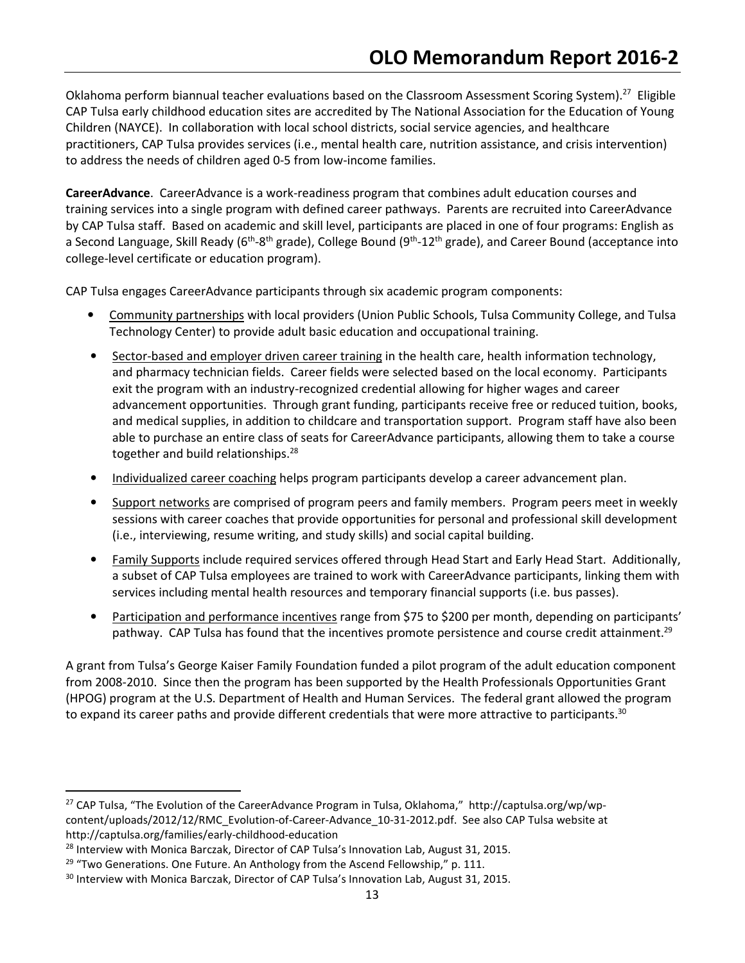Oklahoma perform biannual teacher evaluations based on the Classroom Assessment Scoring System).<sup>27</sup> Eligible CAP Tulsa early childhood education sites are accredited by The National Association for the Education of Young Children (NAYCE). In collaboration with local school districts, social service agencies, and healthcare practitioners, CAP Tulsa provides services (i.e., mental health care, nutrition assistance, and crisis intervention) to address the needs of children aged 0-5 from low-income families.

CareerAdvance. CareerAdvance is a work-readiness program that combines adult education courses and training services into a single program with defined career pathways. Parents are recruited into CareerAdvance by CAP Tulsa staff. Based on academic and skill level, participants are placed in one of four programs: English as a Second Language, Skill Ready ( $6th$ -8<sup>th</sup> grade), College Bound ( $9th$ -12<sup>th</sup> grade), and Career Bound (acceptance into college-level certificate or education program).

CAP Tulsa engages CareerAdvance participants through six academic program components:

- Community partnerships with local providers (Union Public Schools, Tulsa Community College, and Tulsa Technology Center) to provide adult basic education and occupational training.
- Sector-based and employer driven career training in the health care, health information technology, and pharmacy technician fields. Career fields were selected based on the local economy. Participants exit the program with an industry-recognized credential allowing for higher wages and career advancement opportunities. Through grant funding, participants receive free or reduced tuition, books, and medical supplies, in addition to childcare and transportation support. Program staff have also been able to purchase an entire class of seats for CareerAdvance participants, allowing them to take a course together and build relationships.<sup>28</sup>
- Individualized career coaching helps program participants develop a career advancement plan.
- Support networks are comprised of program peers and family members. Program peers meet in weekly sessions with career coaches that provide opportunities for personal and professional skill development (i.e., interviewing, resume writing, and study skills) and social capital building.
- Family Supports include required services offered through Head Start and Early Head Start. Additionally, a subset of CAP Tulsa employees are trained to work with CareerAdvance participants, linking them with services including mental health resources and temporary financial supports (i.e. bus passes).
- Participation and performance incentives range from \$75 to \$200 per month, depending on participants' pathway. CAP Tulsa has found that the incentives promote persistence and course credit attainment.<sup>29</sup>

A grant from Tulsa's George Kaiser Family Foundation funded a pilot program of the adult education component from 2008-2010. Since then the program has been supported by the Health Professionals Opportunities Grant (HPOG) program at the U.S. Department of Health and Human Services. The federal grant allowed the program to expand its career paths and provide different credentials that were more attractive to participants.<sup>30</sup>

 $\overline{a}$ 

<sup>27</sup> CAP Tulsa, "The Evolution of the CareerAdvance Program in Tulsa, Oklahoma," http://captulsa.org/wp/wpcontent/uploads/2012/12/RMC\_Evolution-of-Career-Advance\_10-31-2012.pdf. See also CAP Tulsa website at http://captulsa.org/families/early-childhood-education

<sup>&</sup>lt;sup>28</sup> Interview with Monica Barczak, Director of CAP Tulsa's Innovation Lab, August 31, 2015.

 $29$  "Two Generations. One Future. An Anthology from the Ascend Fellowship," p. 111.

<sup>&</sup>lt;sup>30</sup> Interview with Monica Barczak, Director of CAP Tulsa's Innovation Lab, August 31, 2015.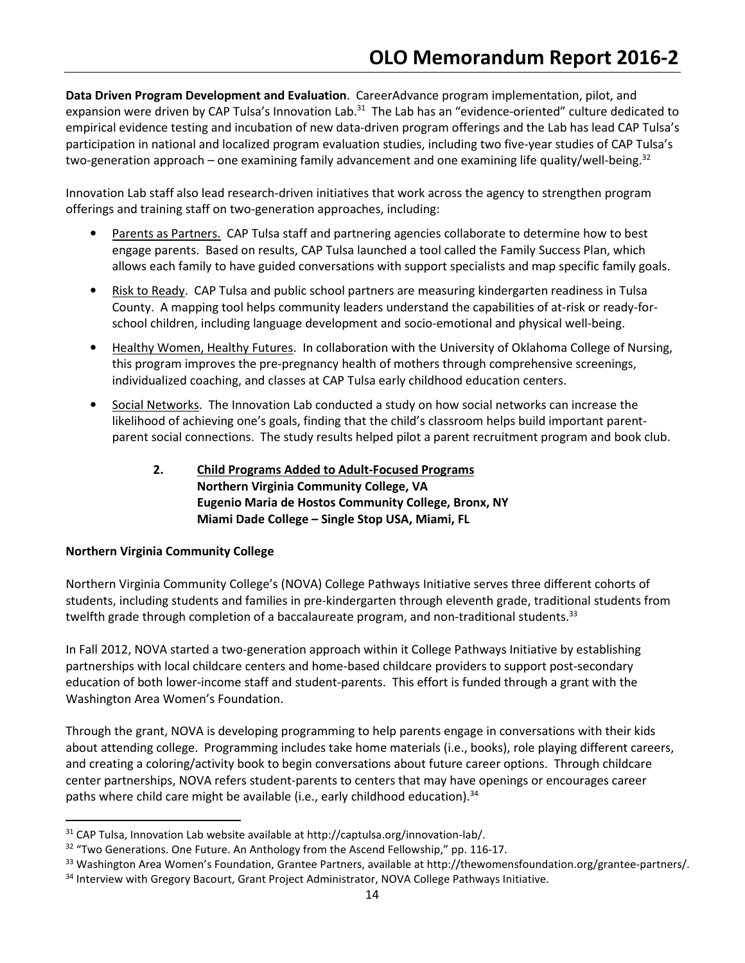Data Driven Program Development and Evaluation. CareerAdvance program implementation, pilot, and expansion were driven by CAP Tulsa's Innovation Lab.<sup>31</sup> The Lab has an "evidence-oriented" culture dedicated to empirical evidence testing and incubation of new data-driven program offerings and the Lab has lead CAP Tulsa's participation in national and localized program evaluation studies, including two five-year studies of CAP Tulsa's two-generation approach – one examining family advancement and one examining life quality/well-being.<sup>32</sup>

Innovation Lab staff also lead research-driven initiatives that work across the agency to strengthen program offerings and training staff on two-generation approaches, including:

- Parents as Partners. CAP Tulsa staff and partnering agencies collaborate to determine how to best engage parents. Based on results, CAP Tulsa launched a tool called the Family Success Plan, which allows each family to have guided conversations with support specialists and map specific family goals.
- Risk to Ready. CAP Tulsa and public school partners are measuring kindergarten readiness in Tulsa County. A mapping tool helps community leaders understand the capabilities of at-risk or ready-forschool children, including language development and socio-emotional and physical well-being.
- Healthy Women, Healthy Futures. In collaboration with the University of Oklahoma College of Nursing, this program improves the pre-pregnancy health of mothers through comprehensive screenings, individualized coaching, and classes at CAP Tulsa early childhood education centers.
- Social Networks. The Innovation Lab conducted a study on how social networks can increase the likelihood of achieving one's goals, finding that the child's classroom helps build important parentparent social connections. The study results helped pilot a parent recruitment program and book club.
	- 2. Child Programs Added to Adult-Focused Programs Northern Virginia Community College, VA Eugenio Maria de Hostos Community College, Bronx, NY Miami Dade College – Single Stop USA, Miami, FL

# Northern Virginia Community College

 $\overline{a}$ 

Northern Virginia Community College's (NOVA) College Pathways Initiative serves three different cohorts of students, including students and families in pre-kindergarten through eleventh grade, traditional students from twelfth grade through completion of a baccalaureate program, and non-traditional students.<sup>33</sup>

In Fall 2012, NOVA started a two-generation approach within it College Pathways Initiative by establishing partnerships with local childcare centers and home-based childcare providers to support post-secondary education of both lower-income staff and student-parents. This effort is funded through a grant with the Washington Area Women's Foundation.

Through the grant, NOVA is developing programming to help parents engage in conversations with their kids about attending college. Programming includes take home materials (i.e., books), role playing different careers, and creating a coloring/activity book to begin conversations about future career options. Through childcare center partnerships, NOVA refers student-parents to centers that may have openings or encourages career paths where child care might be available (i.e., early childhood education).<sup>34</sup>

<sup>31</sup> CAP Tulsa, Innovation Lab website available at http://captulsa.org/innovation-lab/.

<sup>&</sup>lt;sup>32</sup> "Two Generations. One Future. An Anthology from the Ascend Fellowship," pp. 116-17.

<sup>&</sup>lt;sup>33</sup> Washington Area Women's Foundation, Grantee Partners, available at http://thewomensfoundation.org/grantee-partners/.

<sup>&</sup>lt;sup>34</sup> Interview with Gregory Bacourt, Grant Project Administrator, NOVA College Pathways Initiative.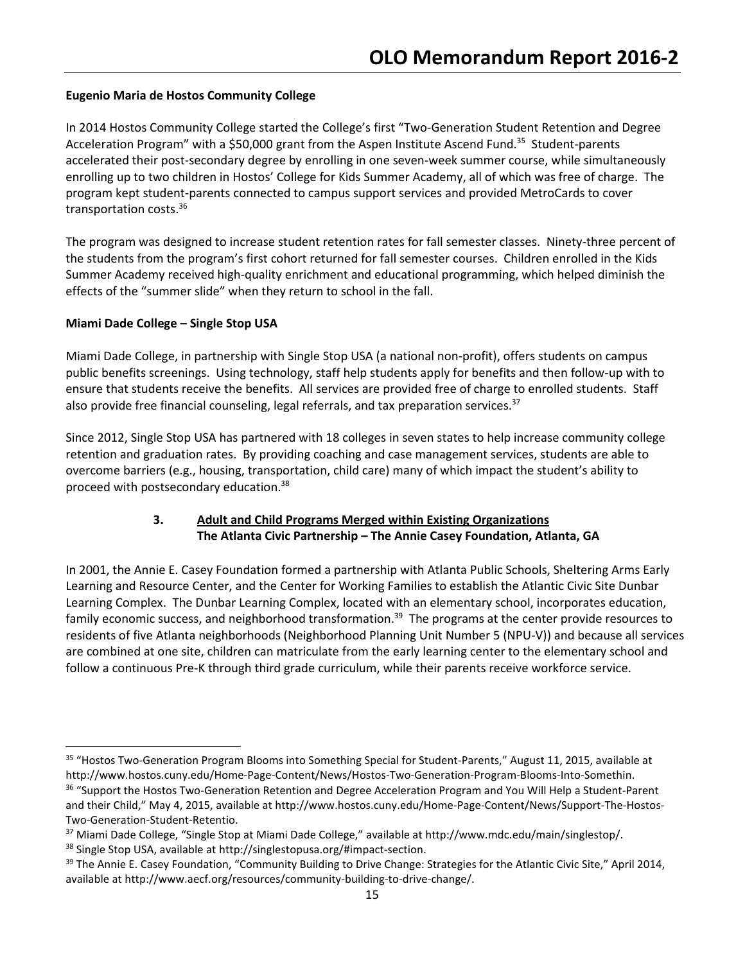# Eugenio Maria de Hostos Community College

In 2014 Hostos Community College started the College's first "Two-Generation Student Retention and Degree Acceleration Program" with a \$50,000 grant from the Aspen Institute Ascend Fund.<sup>35</sup> Student-parents accelerated their post-secondary degree by enrolling in one seven-week summer course, while simultaneously enrolling up to two children in Hostos' College for Kids Summer Academy, all of which was free of charge. The program kept student-parents connected to campus support services and provided MetroCards to cover transportation costs.<sup>36</sup>

The program was designed to increase student retention rates for fall semester classes. Ninety-three percent of the students from the program's first cohort returned for fall semester courses. Children enrolled in the Kids Summer Academy received high-quality enrichment and educational programming, which helped diminish the effects of the "summer slide" when they return to school in the fall.

## Miami Dade College – Single Stop USA

l

Miami Dade College, in partnership with Single Stop USA (a national non-profit), offers students on campus public benefits screenings. Using technology, staff help students apply for benefits and then follow-up with to ensure that students receive the benefits. All services are provided free of charge to enrolled students. Staff also provide free financial counseling, legal referrals, and tax preparation services. $37$ 

Since 2012, Single Stop USA has partnered with 18 colleges in seven states to help increase community college retention and graduation rates. By providing coaching and case management services, students are able to overcome barriers (e.g., housing, transportation, child care) many of which impact the student's ability to proceed with postsecondary education.<sup>38</sup>

# 3. Adult and Child Programs Merged within Existing Organizations The Atlanta Civic Partnership – The Annie Casey Foundation, Atlanta, GA

In 2001, the Annie E. Casey Foundation formed a partnership with Atlanta Public Schools, Sheltering Arms Early Learning and Resource Center, and the Center for Working Families to establish the Atlantic Civic Site Dunbar Learning Complex. The Dunbar Learning Complex, located with an elementary school, incorporates education, family economic success, and neighborhood transformation.<sup>39</sup> The programs at the center provide resources to residents of five Atlanta neighborhoods (Neighborhood Planning Unit Number 5 (NPU-V)) and because all services are combined at one site, children can matriculate from the early learning center to the elementary school and follow a continuous Pre-K through third grade curriculum, while their parents receive workforce service.

<sup>35</sup> "Hostos Two-Generation Program Blooms into Something Special for Student-Parents," August 11, 2015, available at http://www.hostos.cuny.edu/Home-Page-Content/News/Hostos-Two-Generation-Program-Blooms-Into-Somethin.

<sup>&</sup>lt;sup>36</sup> "Support the Hostos Two-Generation Retention and Degree Acceleration Program and You Will Help a Student-Parent and their Child," May 4, 2015, available at http://www.hostos.cuny.edu/Home-Page-Content/News/Support-The-Hostos-Two-Generation-Student-Retentio.

<sup>&</sup>lt;sup>37</sup> Miami Dade College, "Single Stop at Miami Dade College," available at http://www.mdc.edu/main/singlestop/.

<sup>38</sup> Single Stop USA, available at http://singlestopusa.org/#impact-section.

<sup>&</sup>lt;sup>39</sup> The Annie E. Casey Foundation, "Community Building to Drive Change: Strategies for the Atlantic Civic Site," April 2014, available at http://www.aecf.org/resources/community-building-to-drive-change/.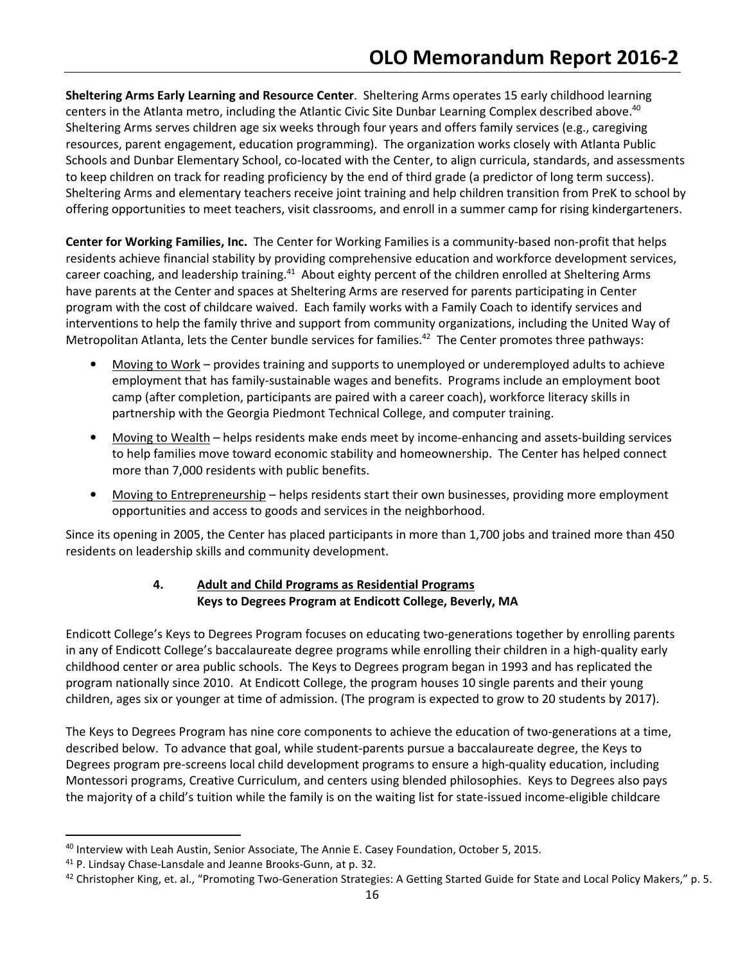Sheltering Arms Early Learning and Resource Center. Sheltering Arms operates 15 early childhood learning centers in the Atlanta metro, including the Atlantic Civic Site Dunbar Learning Complex described above.<sup>40</sup> Sheltering Arms serves children age six weeks through four years and offers family services (e.g., caregiving resources, parent engagement, education programming). The organization works closely with Atlanta Public Schools and Dunbar Elementary School, co-located with the Center, to align curricula, standards, and assessments to keep children on track for reading proficiency by the end of third grade (a predictor of long term success). Sheltering Arms and elementary teachers receive joint training and help children transition from PreK to school by offering opportunities to meet teachers, visit classrooms, and enroll in a summer camp for rising kindergarteners.

Center for Working Families, Inc. The Center for Working Families is a community-based non-profit that helps residents achieve financial stability by providing comprehensive education and workforce development services, career coaching, and leadership training.<sup>41</sup> About eighty percent of the children enrolled at Sheltering Arms have parents at the Center and spaces at Sheltering Arms are reserved for parents participating in Center program with the cost of childcare waived. Each family works with a Family Coach to identify services and interventions to help the family thrive and support from community organizations, including the United Way of Metropolitan Atlanta, lets the Center bundle services for families.<sup>42</sup> The Center promotes three pathways:

- Moving to Work provides training and supports to unemployed or underemployed adults to achieve employment that has family-sustainable wages and benefits. Programs include an employment boot camp (after completion, participants are paired with a career coach), workforce literacy skills in partnership with the Georgia Piedmont Technical College, and computer training.
- Moving to Wealth helps residents make ends meet by income-enhancing and assets-building services to help families move toward economic stability and homeownership. The Center has helped connect more than 7,000 residents with public benefits.
- Moving to Entrepreneurship helps residents start their own businesses, providing more employment opportunities and access to goods and services in the neighborhood.

Since its opening in 2005, the Center has placed participants in more than 1,700 jobs and trained more than 450 residents on leadership skills and community development.

# 4. Adult and Child Programs as Residential Programs Keys to Degrees Program at Endicott College, Beverly, MA

Endicott College's Keys to Degrees Program focuses on educating two-generations together by enrolling parents in any of Endicott College's baccalaureate degree programs while enrolling their children in a high-quality early childhood center or area public schools. The Keys to Degrees program began in 1993 and has replicated the program nationally since 2010. At Endicott College, the program houses 10 single parents and their young children, ages six or younger at time of admission. (The program is expected to grow to 20 students by 2017).

The Keys to Degrees Program has nine core components to achieve the education of two-generations at a time, described below. To advance that goal, while student-parents pursue a baccalaureate degree, the Keys to Degrees program pre-screens local child development programs to ensure a high-quality education, including Montessori programs, Creative Curriculum, and centers using blended philosophies. Keys to Degrees also pays the majority of a child's tuition while the family is on the waiting list for state-issued income-eligible childcare

<sup>&</sup>lt;sup>40</sup> Interview with Leah Austin, Senior Associate, The Annie E. Casey Foundation, October 5, 2015.

<sup>41</sup> P. Lindsay Chase-Lansdale and Jeanne Brooks-Gunn, at p. 32.

 $42$  Christopher King, et. al., "Promoting Two-Generation Strategies: A Getting Started Guide for State and Local Policy Makers," p. 5.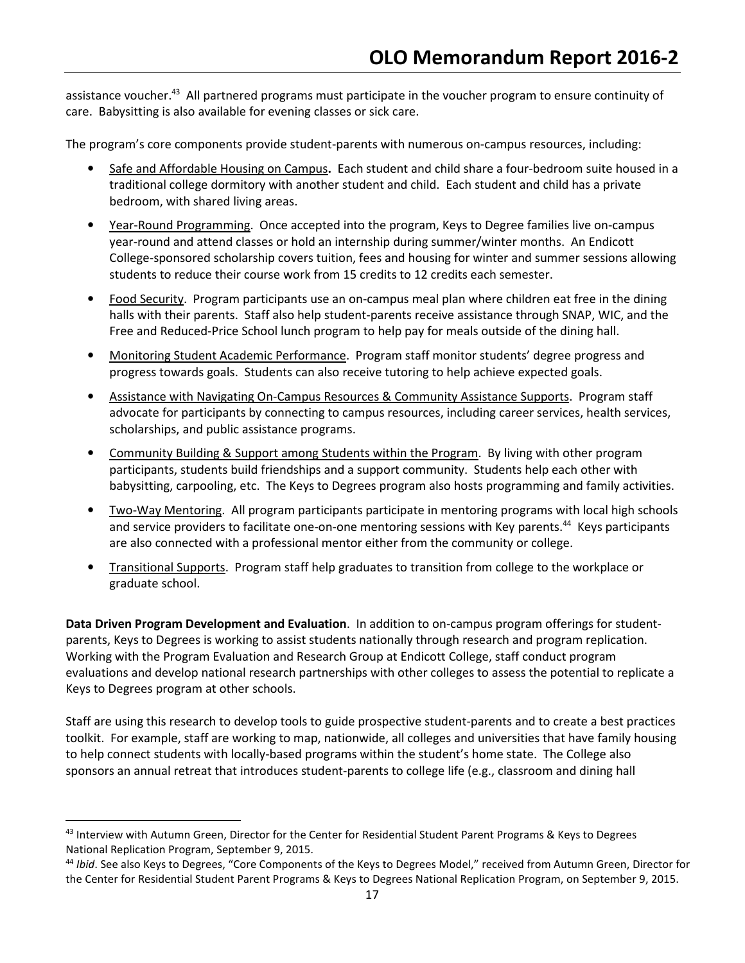assistance voucher.<sup>43</sup> All partnered programs must participate in the voucher program to ensure continuity of care. Babysitting is also available for evening classes or sick care.

The program's core components provide student-parents with numerous on-campus resources, including:

- Safe and Affordable Housing on Campus. Each student and child share a four-bedroom suite housed in a traditional college dormitory with another student and child. Each student and child has a private bedroom, with shared living areas.
- Year-Round Programming. Once accepted into the program, Keys to Degree families live on-campus year-round and attend classes or hold an internship during summer/winter months. An Endicott College-sponsored scholarship covers tuition, fees and housing for winter and summer sessions allowing students to reduce their course work from 15 credits to 12 credits each semester.
- Food Security. Program participants use an on-campus meal plan where children eat free in the dining halls with their parents. Staff also help student-parents receive assistance through SNAP, WIC, and the Free and Reduced-Price School lunch program to help pay for meals outside of the dining hall.
- Monitoring Student Academic Performance. Program staff monitor students' degree progress and progress towards goals. Students can also receive tutoring to help achieve expected goals.
- Assistance with Navigating On-Campus Resources & Community Assistance Supports. Program staff advocate for participants by connecting to campus resources, including career services, health services, scholarships, and public assistance programs.
- Community Building & Support among Students within the Program. By living with other program participants, students build friendships and a support community. Students help each other with babysitting, carpooling, etc. The Keys to Degrees program also hosts programming and family activities.
- Two-Way Mentoring. All program participants participate in mentoring programs with local high schools and service providers to facilitate one-on-one mentoring sessions with Key parents.<sup>44</sup> Keys participants are also connected with a professional mentor either from the community or college.
- Transitional Supports. Program staff help graduates to transition from college to the workplace or graduate school.

Data Driven Program Development and Evaluation. In addition to on-campus program offerings for studentparents, Keys to Degrees is working to assist students nationally through research and program replication. Working with the Program Evaluation and Research Group at Endicott College, staff conduct program evaluations and develop national research partnerships with other colleges to assess the potential to replicate a Keys to Degrees program at other schools.

Staff are using this research to develop tools to guide prospective student-parents and to create a best practices toolkit. For example, staff are working to map, nationwide, all colleges and universities that have family housing to help connect students with locally-based programs within the student's home state. The College also sponsors an annual retreat that introduces student-parents to college life (e.g., classroom and dining hall

<u>.</u>

<sup>&</sup>lt;sup>43</sup> Interview with Autumn Green, Director for the Center for Residential Student Parent Programs & Keys to Degrees National Replication Program, September 9, 2015.

<sup>&</sup>lt;sup>44</sup> Ibid. See also Keys to Degrees, "Core Components of the Keys to Degrees Model," received from Autumn Green, Director for the Center for Residential Student Parent Programs & Keys to Degrees National Replication Program, on September 9, 2015.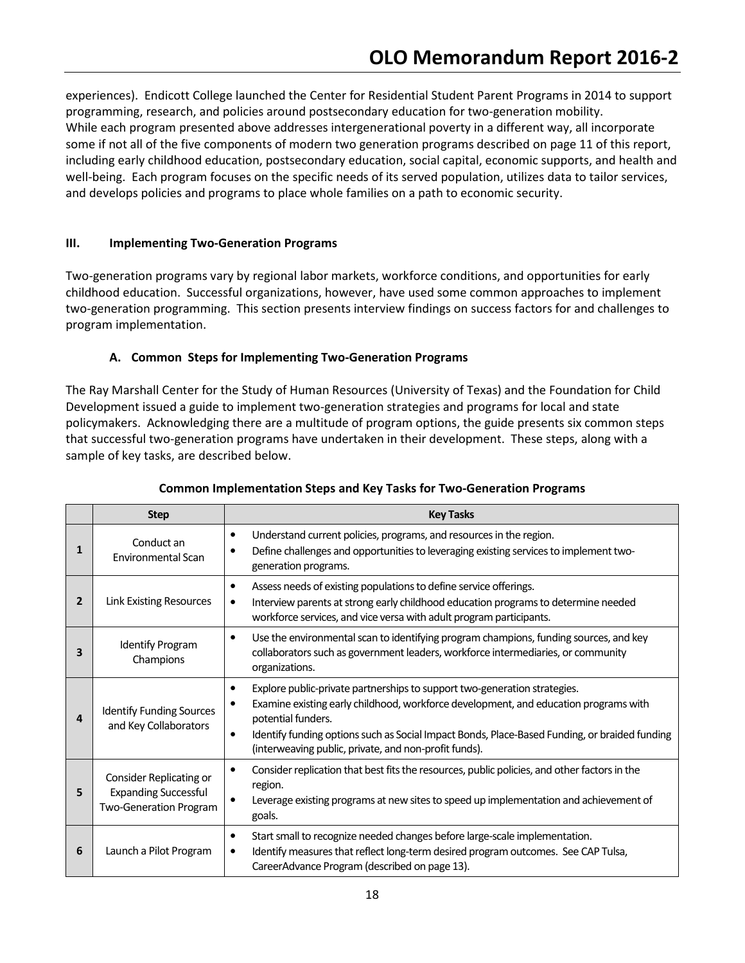experiences). Endicott College launched the Center for Residential Student Parent Programs in 2014 to support programming, research, and policies around postsecondary education for two-generation mobility. While each program presented above addresses intergenerational poverty in a different way, all incorporate some if not all of the five components of modern two generation programs described on page 11 of this report, including early childhood education, postsecondary education, social capital, economic supports, and health and well-being. Each program focuses on the specific needs of its served population, utilizes data to tailor services, and develops policies and programs to place whole families on a path to economic security.

### III. Implementing Two-Generation Programs

Two-generation programs vary by regional labor markets, workforce conditions, and opportunities for early childhood education. Successful organizations, however, have used some common approaches to implement two-generation programming. This section presents interview findings on success factors for and challenges to program implementation.

## A. Common Steps for Implementing Two-Generation Programs

The Ray Marshall Center for the Study of Human Resources (University of Texas) and the Foundation for Child Development issued a guide to implement two-generation strategies and programs for local and state policymakers. Acknowledging there are a multitude of program options, the guide presents six common steps that successful two-generation programs have undertaken in their development. These steps, along with a sample of key tasks, are described below.

|    | <b>Step</b>                                                                      | <b>Key Tasks</b>                                                                                                                                                                                                                                                                                                                                                            |
|----|----------------------------------------------------------------------------------|-----------------------------------------------------------------------------------------------------------------------------------------------------------------------------------------------------------------------------------------------------------------------------------------------------------------------------------------------------------------------------|
| 1  | Conduct an<br><b>Environmental Scan</b>                                          | Understand current policies, programs, and resources in the region.<br>$\bullet$<br>Define challenges and opportunities to leveraging existing services to implement two-<br>generation programs.                                                                                                                                                                           |
| 2  | <b>Link Existing Resources</b>                                                   | Assess needs of existing populations to define service offerings.<br>$\bullet$<br>Interview parents at strong early childhood education programs to determine needed<br>$\bullet$<br>workforce services, and vice versa with adult program participants.                                                                                                                    |
| 3  | <b>Identify Program</b><br>Champions                                             | Use the environmental scan to identifying program champions, funding sources, and key<br>$\bullet$<br>collaborators such as government leaders, workforce intermediaries, or community<br>organizations.                                                                                                                                                                    |
| 4  | <b>Identify Funding Sources</b><br>and Key Collaborators                         | Explore public-private partnerships to support two-generation strategies.<br>$\bullet$<br>Examine existing early childhood, workforce development, and education programs with<br>potential funders.<br>Identify funding options such as Social Impact Bonds, Place-Based Funding, or braided funding<br>$\bullet$<br>(interweaving public, private, and non-profit funds). |
| 5. | Consider Replicating or<br><b>Expanding Successful</b><br>Two-Generation Program | Consider replication that best fits the resources, public policies, and other factors in the<br>$\bullet$<br>region.<br>Leverage existing programs at new sites to speed up implementation and achievement of<br>goals.                                                                                                                                                     |
| 6  | Launch a Pilot Program                                                           | Start small to recognize needed changes before large-scale implementation.<br>$\bullet$<br>Identify measures that reflect long-term desired program outcomes. See CAP Tulsa,<br>$\bullet$<br>CareerAdvance Program (described on page 13).                                                                                                                                  |

### Common Implementation Steps and Key Tasks for Two-Generation Programs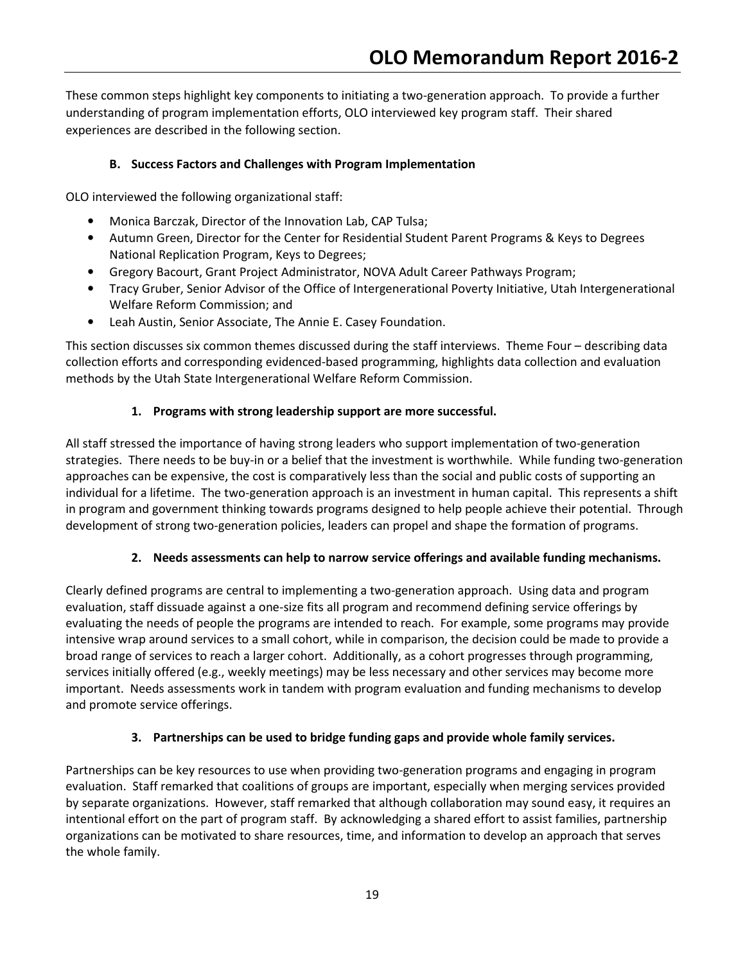These common steps highlight key components to initiating a two-generation approach. To provide a further understanding of program implementation efforts, OLO interviewed key program staff. Their shared experiences are described in the following section.

# B. Success Factors and Challenges with Program Implementation

OLO interviewed the following organizational staff:

- Monica Barczak, Director of the Innovation Lab, CAP Tulsa;
- Autumn Green, Director for the Center for Residential Student Parent Programs & Keys to Degrees National Replication Program, Keys to Degrees;
- Gregory Bacourt, Grant Project Administrator, NOVA Adult Career Pathways Program;
- Tracy Gruber, Senior Advisor of the Office of Intergenerational Poverty Initiative, Utah Intergenerational Welfare Reform Commission; and
- Leah Austin, Senior Associate, The Annie E. Casey Foundation.

This section discusses six common themes discussed during the staff interviews. Theme Four – describing data collection efforts and corresponding evidenced-based programming, highlights data collection and evaluation methods by the Utah State Intergenerational Welfare Reform Commission.

# 1. Programs with strong leadership support are more successful.

All staff stressed the importance of having strong leaders who support implementation of two-generation strategies. There needs to be buy-in or a belief that the investment is worthwhile. While funding two-generation approaches can be expensive, the cost is comparatively less than the social and public costs of supporting an individual for a lifetime. The two-generation approach is an investment in human capital. This represents a shift in program and government thinking towards programs designed to help people achieve their potential. Through development of strong two-generation policies, leaders can propel and shape the formation of programs.

# 2. Needs assessments can help to narrow service offerings and available funding mechanisms.

Clearly defined programs are central to implementing a two-generation approach. Using data and program evaluation, staff dissuade against a one-size fits all program and recommend defining service offerings by evaluating the needs of people the programs are intended to reach. For example, some programs may provide intensive wrap around services to a small cohort, while in comparison, the decision could be made to provide a broad range of services to reach a larger cohort. Additionally, as a cohort progresses through programming, services initially offered (e.g., weekly meetings) may be less necessary and other services may become more important. Needs assessments work in tandem with program evaluation and funding mechanisms to develop and promote service offerings.

# 3. Partnerships can be used to bridge funding gaps and provide whole family services.

Partnerships can be key resources to use when providing two-generation programs and engaging in program evaluation. Staff remarked that coalitions of groups are important, especially when merging services provided by separate organizations. However, staff remarked that although collaboration may sound easy, it requires an intentional effort on the part of program staff. By acknowledging a shared effort to assist families, partnership organizations can be motivated to share resources, time, and information to develop an approach that serves the whole family.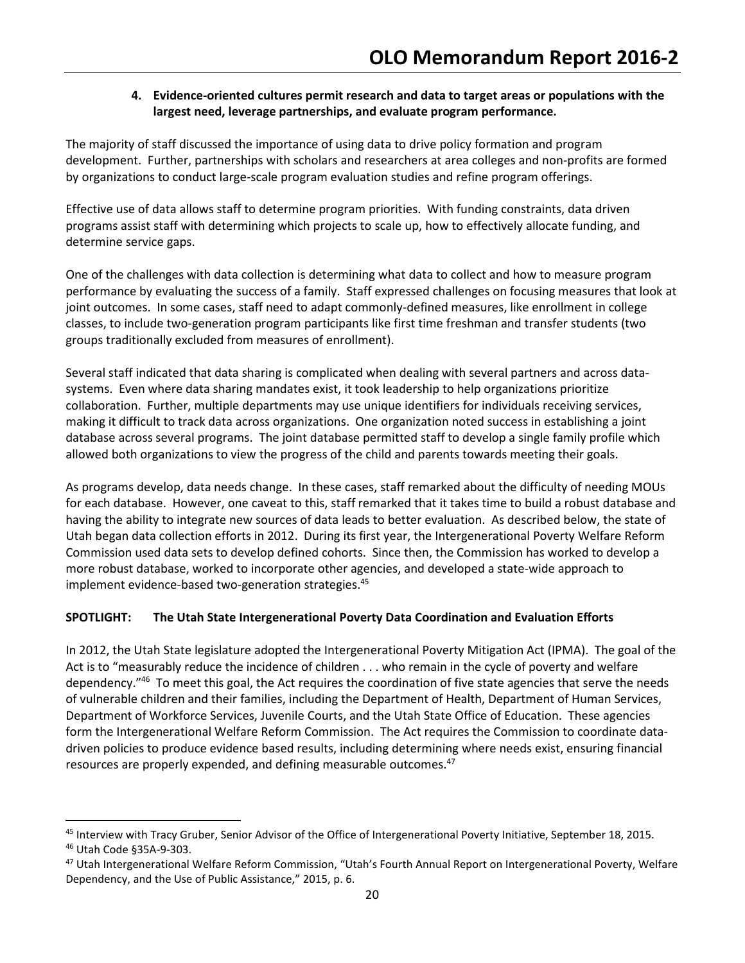# 4. Evidence-oriented cultures permit research and data to target areas or populations with the largest need, leverage partnerships, and evaluate program performance.

The majority of staff discussed the importance of using data to drive policy formation and program development. Further, partnerships with scholars and researchers at area colleges and non-profits are formed by organizations to conduct large-scale program evaluation studies and refine program offerings.

Effective use of data allows staff to determine program priorities. With funding constraints, data driven programs assist staff with determining which projects to scale up, how to effectively allocate funding, and determine service gaps.

One of the challenges with data collection is determining what data to collect and how to measure program performance by evaluating the success of a family. Staff expressed challenges on focusing measures that look at joint outcomes. In some cases, staff need to adapt commonly-defined measures, like enrollment in college classes, to include two-generation program participants like first time freshman and transfer students (two groups traditionally excluded from measures of enrollment).

Several staff indicated that data sharing is complicated when dealing with several partners and across datasystems. Even where data sharing mandates exist, it took leadership to help organizations prioritize collaboration. Further, multiple departments may use unique identifiers for individuals receiving services, making it difficult to track data across organizations. One organization noted success in establishing a joint database across several programs. The joint database permitted staff to develop a single family profile which allowed both organizations to view the progress of the child and parents towards meeting their goals.

As programs develop, data needs change. In these cases, staff remarked about the difficulty of needing MOUs for each database. However, one caveat to this, staff remarked that it takes time to build a robust database and having the ability to integrate new sources of data leads to better evaluation. As described below, the state of Utah began data collection efforts in 2012. During its first year, the Intergenerational Poverty Welfare Reform Commission used data sets to develop defined cohorts. Since then, the Commission has worked to develop a more robust database, worked to incorporate other agencies, and developed a state-wide approach to implement evidence-based two-generation strategies.<sup>45</sup>

# SPOTLIGHT: The Utah State Intergenerational Poverty Data Coordination and Evaluation Efforts

In 2012, the Utah State legislature adopted the Intergenerational Poverty Mitigation Act (IPMA). The goal of the Act is to "measurably reduce the incidence of children . . . who remain in the cycle of poverty and welfare dependency."<sup>46</sup> To meet this goal, the Act requires the coordination of five state agencies that serve the needs of vulnerable children and their families, including the Department of Health, Department of Human Services, Department of Workforce Services, Juvenile Courts, and the Utah State Office of Education. These agencies form the Intergenerational Welfare Reform Commission. The Act requires the Commission to coordinate datadriven policies to produce evidence based results, including determining where needs exist, ensuring financial resources are properly expended, and defining measurable outcomes.<sup>47</sup>

<u>.</u>

<sup>45</sup> Interview with Tracy Gruber, Senior Advisor of the Office of Intergenerational Poverty Initiative, September 18, 2015.

<sup>46</sup> Utah Code §35A-9-303.

<sup>47</sup> Utah Intergenerational Welfare Reform Commission, "Utah's Fourth Annual Report on Intergenerational Poverty, Welfare Dependency, and the Use of Public Assistance," 2015, p. 6.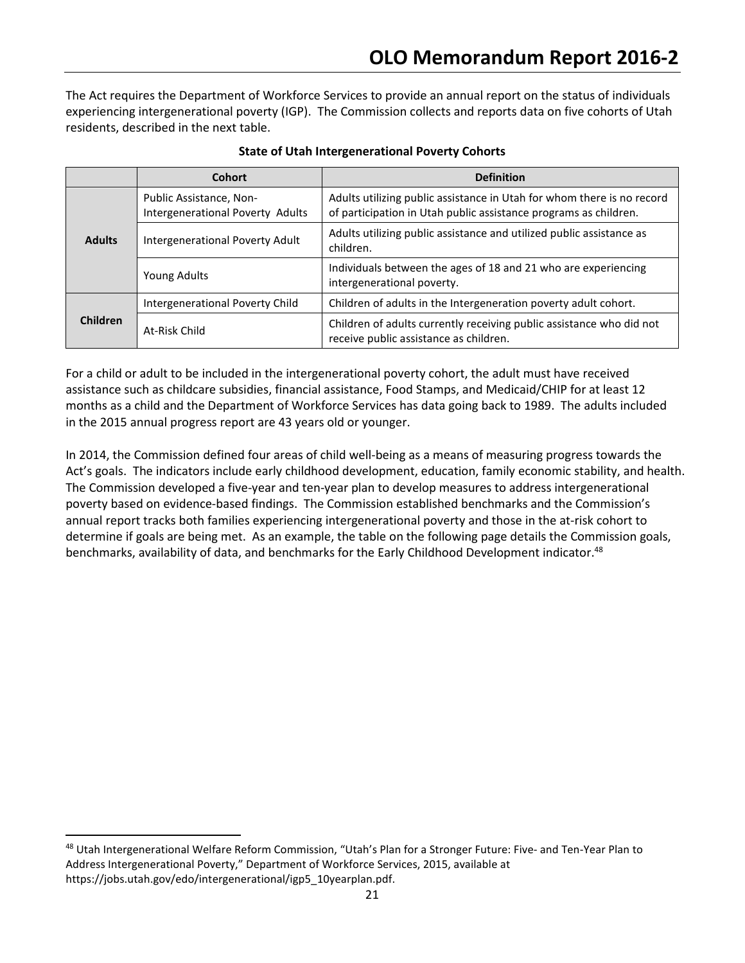The Act requires the Department of Workforce Services to provide an annual report on the status of individuals experiencing intergenerational poverty (IGP). The Commission collects and reports data on five cohorts of Utah residents, described in the next table.

|                 | <b>Cohort</b>                                               | <b>Definition</b>                                                                                                                          |  |  |
|-----------------|-------------------------------------------------------------|--------------------------------------------------------------------------------------------------------------------------------------------|--|--|
| <b>Adults</b>   | Public Assistance, Non-<br>Intergenerational Poverty Adults | Adults utilizing public assistance in Utah for whom there is no record<br>of participation in Utah public assistance programs as children. |  |  |
|                 | Intergenerational Poverty Adult                             | Adults utilizing public assistance and utilized public assistance as<br>children.                                                          |  |  |
|                 | Young Adults                                                | Individuals between the ages of 18 and 21 who are experiencing<br>intergenerational poverty.                                               |  |  |
| <b>Children</b> | Intergenerational Poverty Child                             | Children of adults in the Intergeneration poverty adult cohort.                                                                            |  |  |
|                 | At-Risk Child                                               | Children of adults currently receiving public assistance who did not<br>receive public assistance as children.                             |  |  |

#### State of Utah Intergenerational Poverty Cohorts

For a child or adult to be included in the intergenerational poverty cohort, the adult must have received assistance such as childcare subsidies, financial assistance, Food Stamps, and Medicaid/CHIP for at least 12 months as a child and the Department of Workforce Services has data going back to 1989. The adults included in the 2015 annual progress report are 43 years old or younger.

In 2014, the Commission defined four areas of child well-being as a means of measuring progress towards the Act's goals. The indicators include early childhood development, education, family economic stability, and health. The Commission developed a five-year and ten-year plan to develop measures to address intergenerational poverty based on evidence-based findings. The Commission established benchmarks and the Commission's annual report tracks both families experiencing intergenerational poverty and those in the at-risk cohort to determine if goals are being met. As an example, the table on the following page details the Commission goals, benchmarks, availability of data, and benchmarks for the Early Childhood Development indicator.<sup>48</sup>

-

<sup>48</sup> Utah Intergenerational Welfare Reform Commission, "Utah's Plan for a Stronger Future: Five- and Ten-Year Plan to Address Intergenerational Poverty," Department of Workforce Services, 2015, available at https://jobs.utah.gov/edo/intergenerational/igp5\_10yearplan.pdf.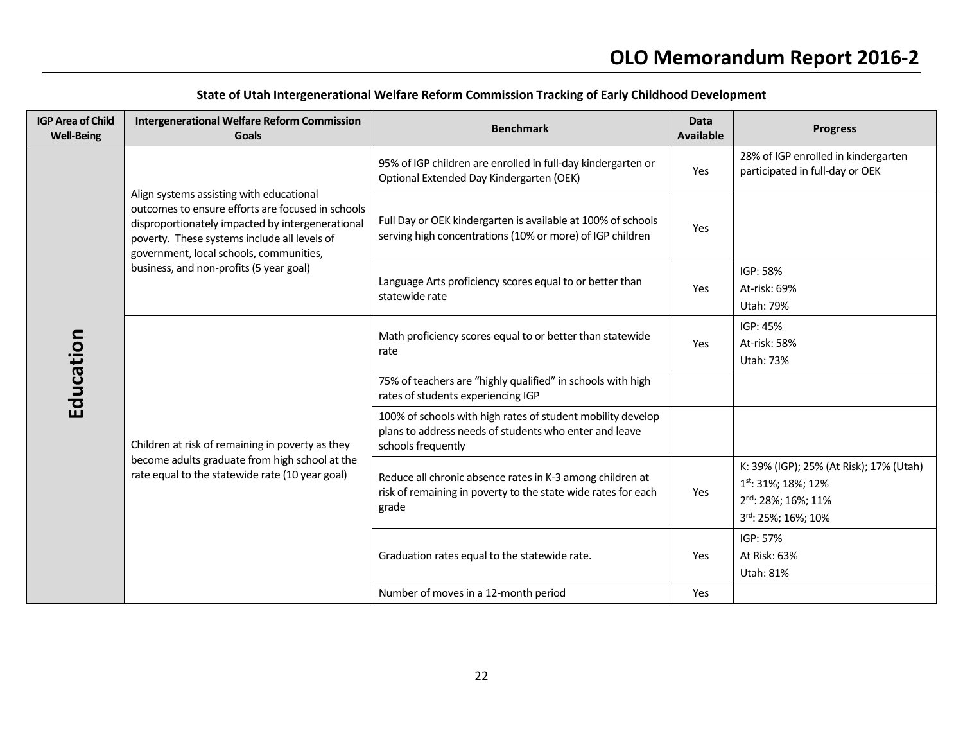| <b>IGP Area of Child</b><br><b>Well-Being</b> | <b>Intergenerational Welfare Reform Commission</b><br><b>Goals</b>                                                                                                                                                                                                                      | <b>Benchmark</b>                                                                                                                            | <b>Data</b><br><b>Available</b> | <b>Progress</b>                                                                                                                     |
|-----------------------------------------------|-----------------------------------------------------------------------------------------------------------------------------------------------------------------------------------------------------------------------------------------------------------------------------------------|---------------------------------------------------------------------------------------------------------------------------------------------|---------------------------------|-------------------------------------------------------------------------------------------------------------------------------------|
| Education                                     | Align systems assisting with educational<br>outcomes to ensure efforts are focused in schools<br>disproportionately impacted by intergenerational<br>poverty. These systems include all levels of<br>government, local schools, communities,<br>business, and non-profits (5 year goal) | 95% of IGP children are enrolled in full-day kindergarten or<br>Optional Extended Day Kindergarten (OEK)                                    | Yes                             | 28% of IGP enrolled in kindergarten<br>participated in full-day or OEK                                                              |
|                                               |                                                                                                                                                                                                                                                                                         | Full Day or OEK kindergarten is available at 100% of schools<br>serving high concentrations (10% or more) of IGP children                   | Yes                             |                                                                                                                                     |
|                                               |                                                                                                                                                                                                                                                                                         | Language Arts proficiency scores equal to or better than<br>statewide rate                                                                  | Yes                             | IGP: 58%<br>At-risk: 69%<br>Utah: 79%                                                                                               |
|                                               | Children at risk of remaining in poverty as they<br>become adults graduate from high school at the<br>rate equal to the statewide rate (10 year goal)                                                                                                                                   | Math proficiency scores equal to or better than statewide<br>rate                                                                           | Yes                             | IGP: 45%<br>At-risk: 58%<br>Utah: 73%                                                                                               |
|                                               |                                                                                                                                                                                                                                                                                         | 75% of teachers are "highly qualified" in schools with high<br>rates of students experiencing IGP                                           |                                 |                                                                                                                                     |
|                                               |                                                                                                                                                                                                                                                                                         | 100% of schools with high rates of student mobility develop<br>plans to address needs of students who enter and leave<br>schools frequently |                                 |                                                                                                                                     |
|                                               |                                                                                                                                                                                                                                                                                         | Reduce all chronic absence rates in K-3 among children at<br>risk of remaining in poverty to the state wide rates for each<br>grade         | Yes                             | K: 39% (IGP); 25% (At Risk); 17% (Utah)<br>1 <sup>st</sup> : 31%; 18%; 12%<br>2 <sup>nd</sup> : 28%; 16%; 11%<br>3rd: 25%; 16%; 10% |
|                                               |                                                                                                                                                                                                                                                                                         | Graduation rates equal to the statewide rate.                                                                                               | Yes                             | IGP: 57%<br>At Risk: 63%<br>Utah: 81%                                                                                               |
|                                               |                                                                                                                                                                                                                                                                                         | Number of moves in a 12-month period                                                                                                        | Yes                             |                                                                                                                                     |

# State of Utah Intergenerational Welfare Reform Commission Tracking of Early Childhood Development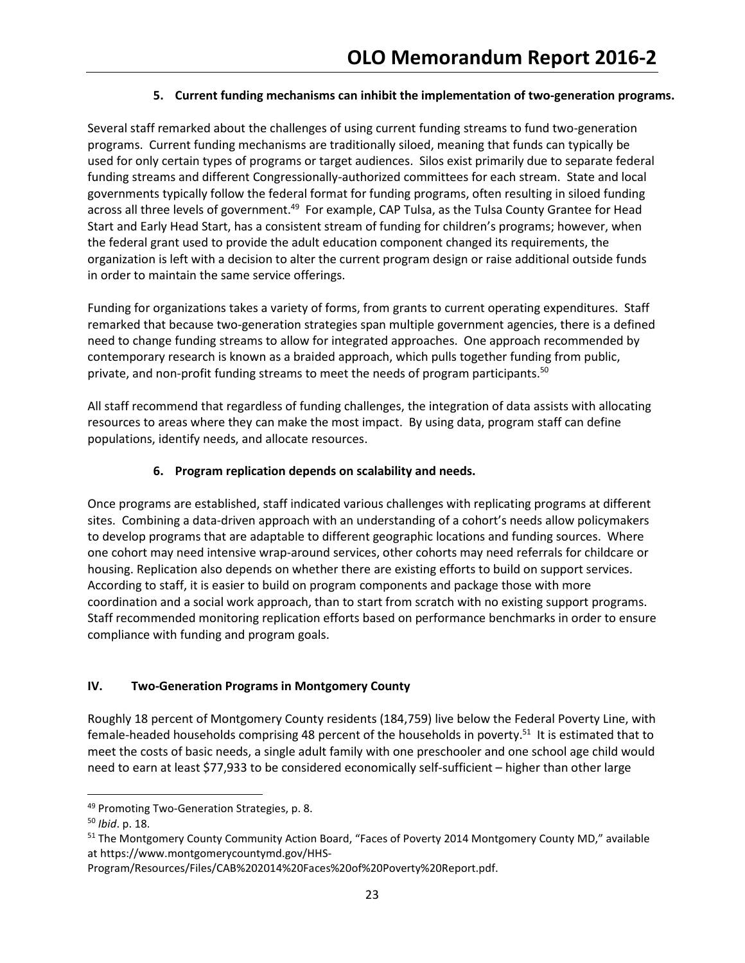### 5. Current funding mechanisms can inhibit the implementation of two-generation programs.

Several staff remarked about the challenges of using current funding streams to fund two-generation programs. Current funding mechanisms are traditionally siloed, meaning that funds can typically be used for only certain types of programs or target audiences. Silos exist primarily due to separate federal funding streams and different Congressionally-authorized committees for each stream. State and local governments typically follow the federal format for funding programs, often resulting in siloed funding across all three levels of government.<sup>49</sup> For example, CAP Tulsa, as the Tulsa County Grantee for Head Start and Early Head Start, has a consistent stream of funding for children's programs; however, when the federal grant used to provide the adult education component changed its requirements, the organization is left with a decision to alter the current program design or raise additional outside funds in order to maintain the same service offerings.

Funding for organizations takes a variety of forms, from grants to current operating expenditures. Staff remarked that because two-generation strategies span multiple government agencies, there is a defined need to change funding streams to allow for integrated approaches. One approach recommended by contemporary research is known as a braided approach, which pulls together funding from public, private, and non-profit funding streams to meet the needs of program participants.<sup>50</sup>

All staff recommend that regardless of funding challenges, the integration of data assists with allocating resources to areas where they can make the most impact. By using data, program staff can define populations, identify needs, and allocate resources.

# 6. Program replication depends on scalability and needs.

Once programs are established, staff indicated various challenges with replicating programs at different sites. Combining a data-driven approach with an understanding of a cohort's needs allow policymakers to develop programs that are adaptable to different geographic locations and funding sources. Where one cohort may need intensive wrap-around services, other cohorts may need referrals for childcare or housing. Replication also depends on whether there are existing efforts to build on support services. According to staff, it is easier to build on program components and package those with more coordination and a social work approach, than to start from scratch with no existing support programs. Staff recommended monitoring replication efforts based on performance benchmarks in order to ensure compliance with funding and program goals.

# IV. Two-Generation Programs in Montgomery County

Roughly 18 percent of Montgomery County residents (184,759) live below the Federal Poverty Line, with female-headed households comprising 48 percent of the households in poverty.<sup>51</sup> It is estimated that to meet the costs of basic needs, a single adult family with one preschooler and one school age child would need to earn at least \$77,933 to be considered economically self-sufficient – higher than other large

<sup>49</sup> Promoting Two-Generation Strategies, p. 8.

<sup>50</sup> Ibid. p. 18.

<sup>&</sup>lt;sup>51</sup> The Montgomery County Community Action Board, "Faces of Poverty 2014 Montgomery County MD," available at https://www.montgomerycountymd.gov/HHS-

Program/Resources/Files/CAB%202014%20Faces%20of%20Poverty%20Report.pdf.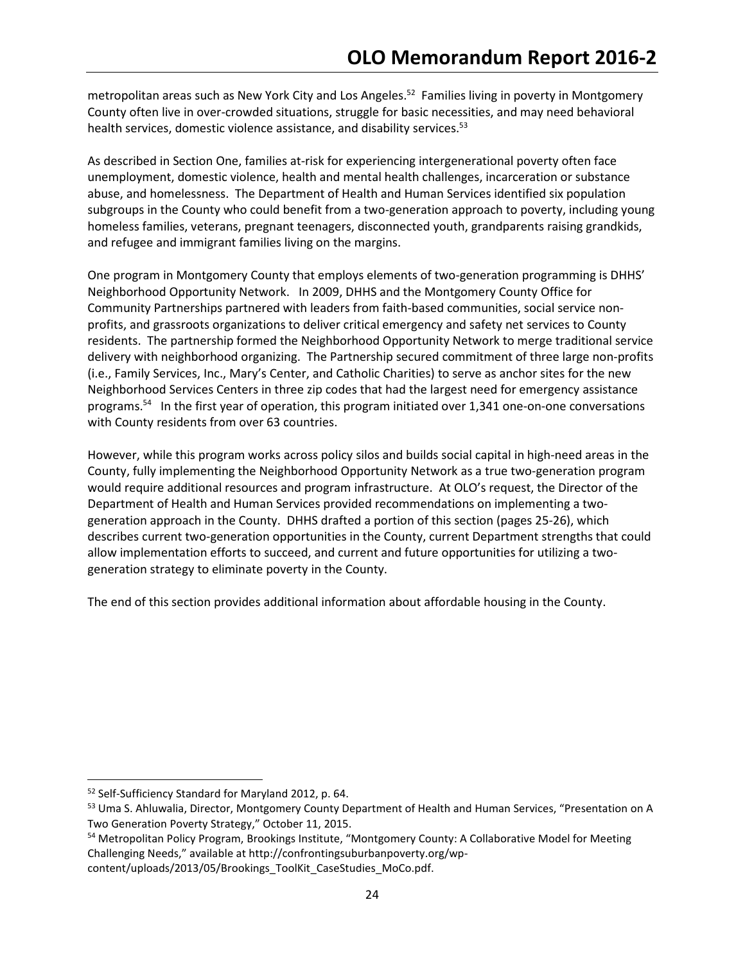metropolitan areas such as New York City and Los Angeles.<sup>52</sup> Families living in poverty in Montgomery County often live in over-crowded situations, struggle for basic necessities, and may need behavioral health services, domestic violence assistance, and disability services.<sup>53</sup>

As described in Section One, families at-risk for experiencing intergenerational poverty often face unemployment, domestic violence, health and mental health challenges, incarceration or substance abuse, and homelessness. The Department of Health and Human Services identified six population subgroups in the County who could benefit from a two-generation approach to poverty, including young homeless families, veterans, pregnant teenagers, disconnected youth, grandparents raising grandkids, and refugee and immigrant families living on the margins.

One program in Montgomery County that employs elements of two-generation programming is DHHS' Neighborhood Opportunity Network. In 2009, DHHS and the Montgomery County Office for Community Partnerships partnered with leaders from faith-based communities, social service nonprofits, and grassroots organizations to deliver critical emergency and safety net services to County residents. The partnership formed the Neighborhood Opportunity Network to merge traditional service delivery with neighborhood organizing. The Partnership secured commitment of three large non-profits (i.e., Family Services, Inc., Mary's Center, and Catholic Charities) to serve as anchor sites for the new Neighborhood Services Centers in three zip codes that had the largest need for emergency assistance programs.<sup>54</sup> In the first year of operation, this program initiated over 1,341 one-on-one conversations with County residents from over 63 countries.

However, while this program works across policy silos and builds social capital in high-need areas in the County, fully implementing the Neighborhood Opportunity Network as a true two-generation program would require additional resources and program infrastructure. At OLO's request, the Director of the Department of Health and Human Services provided recommendations on implementing a twogeneration approach in the County. DHHS drafted a portion of this section (pages 25-26), which describes current two-generation opportunities in the County, current Department strengths that could allow implementation efforts to succeed, and current and future opportunities for utilizing a twogeneration strategy to eliminate poverty in the County.

The end of this section provides additional information about affordable housing in the County.

<sup>52</sup> Self-Sufficiency Standard for Maryland 2012, p. 64.

<sup>53</sup> Uma S. Ahluwalia, Director, Montgomery County Department of Health and Human Services, "Presentation on A Two Generation Poverty Strategy," October 11, 2015.

<sup>&</sup>lt;sup>54</sup> Metropolitan Policy Program, Brookings Institute, "Montgomery County: A Collaborative Model for Meeting Challenging Needs," available at http://confrontingsuburbanpoverty.org/wpcontent/uploads/2013/05/Brookings\_ToolKit\_CaseStudies\_MoCo.pdf.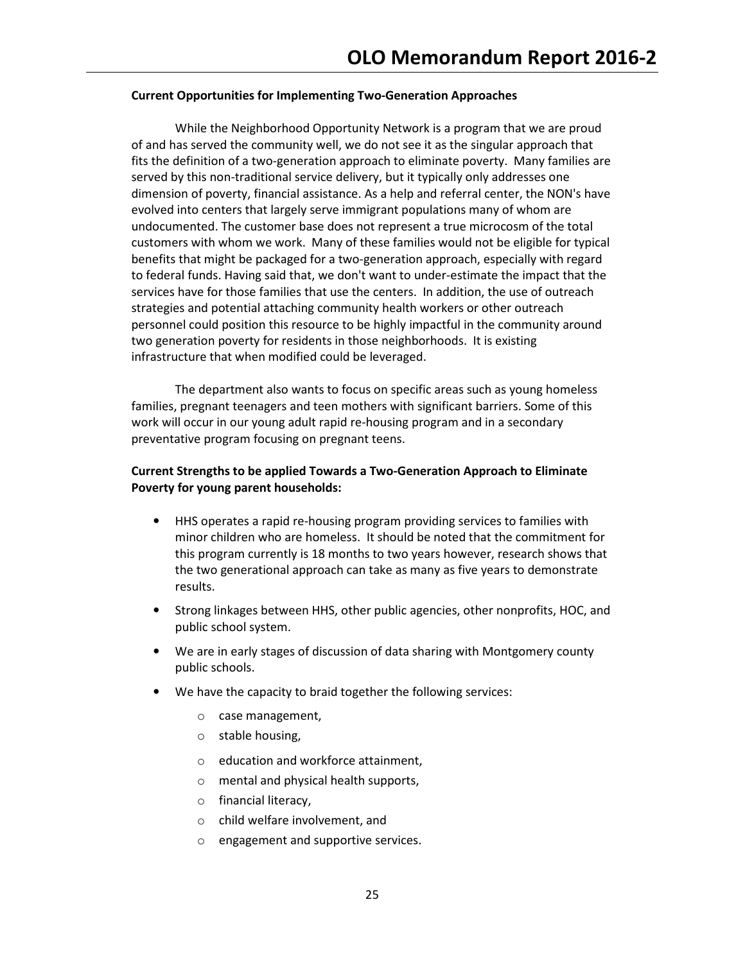#### Current Opportunities for Implementing Two-Generation Approaches

 While the Neighborhood Opportunity Network is a program that we are proud of and has served the community well, we do not see it as the singular approach that fits the definition of a two-generation approach to eliminate poverty. Many families are served by this non-traditional service delivery, but it typically only addresses one dimension of poverty, financial assistance. As a help and referral center, the NON's have evolved into centers that largely serve immigrant populations many of whom are undocumented. The customer base does not represent a true microcosm of the total customers with whom we work. Many of these families would not be eligible for typical benefits that might be packaged for a two-generation approach, especially with regard to federal funds. Having said that, we don't want to under-estimate the impact that the services have for those families that use the centers. In addition, the use of outreach strategies and potential attaching community health workers or other outreach personnel could position this resource to be highly impactful in the community around two generation poverty for residents in those neighborhoods. It is existing infrastructure that when modified could be leveraged.

 The department also wants to focus on specific areas such as young homeless families, pregnant teenagers and teen mothers with significant barriers. Some of this work will occur in our young adult rapid re-housing program and in a secondary preventative program focusing on pregnant teens.

### Current Strengths to be applied Towards a Two-Generation Approach to Eliminate Poverty for young parent households:

- HHS operates a rapid re-housing program providing services to families with minor children who are homeless. It should be noted that the commitment for this program currently is 18 months to two years however, research shows that the two generational approach can take as many as five years to demonstrate results.
- Strong linkages between HHS, other public agencies, other nonprofits, HOC, and public school system.
- We are in early stages of discussion of data sharing with Montgomery county public schools.
- We have the capacity to braid together the following services:
	- o case management,
	- o stable housing,
	- o education and workforce attainment,
	- o mental and physical health supports,
	- o financial literacy,
	- o child welfare involvement, and
	- engagement and supportive services.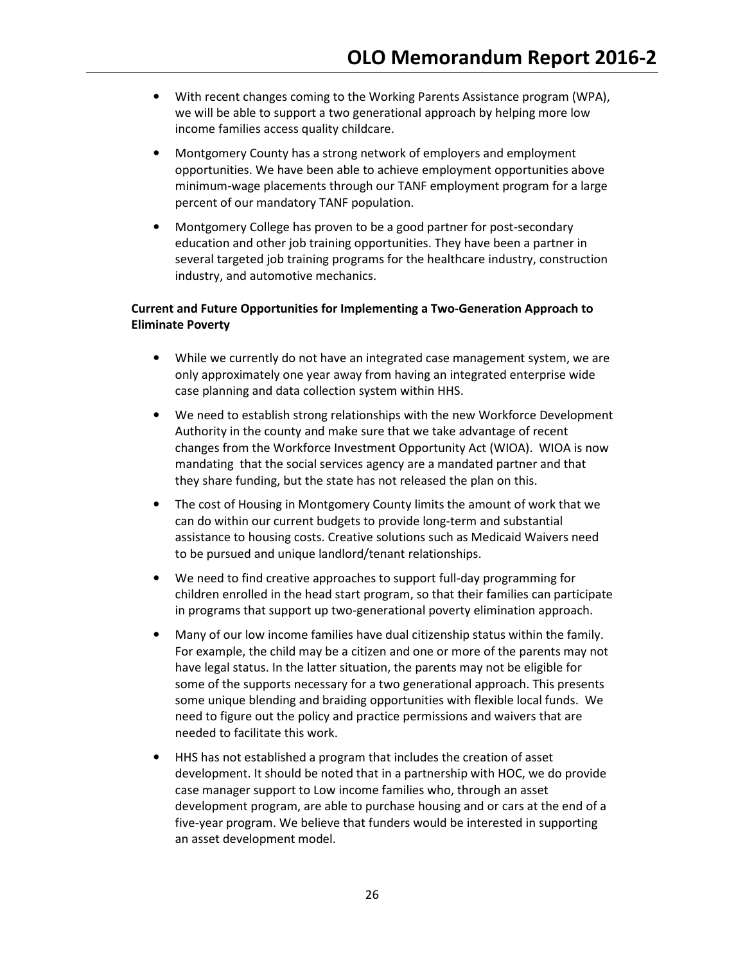- With recent changes coming to the Working Parents Assistance program (WPA), we will be able to support a two generational approach by helping more low income families access quality childcare.
- Montgomery County has a strong network of employers and employment opportunities. We have been able to achieve employment opportunities above minimum-wage placements through our TANF employment program for a large percent of our mandatory TANF population.
- Montgomery College has proven to be a good partner for post-secondary education and other job training opportunities. They have been a partner in several targeted job training programs for the healthcare industry, construction industry, and automotive mechanics.

## Current and Future Opportunities for Implementing a Two-Generation Approach to Eliminate Poverty

- While we currently do not have an integrated case management system, we are only approximately one year away from having an integrated enterprise wide case planning and data collection system within HHS.
- We need to establish strong relationships with the new Workforce Development Authority in the county and make sure that we take advantage of recent changes from the Workforce Investment Opportunity Act (WIOA). WIOA is now mandating that the social services agency are a mandated partner and that they share funding, but the state has not released the plan on this.
- The cost of Housing in Montgomery County limits the amount of work that we can do within our current budgets to provide long-term and substantial assistance to housing costs. Creative solutions such as Medicaid Waivers need to be pursued and unique landlord/tenant relationships.
- We need to find creative approaches to support full-day programming for children enrolled in the head start program, so that their families can participate in programs that support up two-generational poverty elimination approach.
- Many of our low income families have dual citizenship status within the family. For example, the child may be a citizen and one or more of the parents may not have legal status. In the latter situation, the parents may not be eligible for some of the supports necessary for a two generational approach. This presents some unique blending and braiding opportunities with flexible local funds. We need to figure out the policy and practice permissions and waivers that are needed to facilitate this work.
- HHS has not established a program that includes the creation of asset development. It should be noted that in a partnership with HOC, we do provide case manager support to Low income families who, through an asset development program, are able to purchase housing and or cars at the end of a five-year program. We believe that funders would be interested in supporting an asset development model.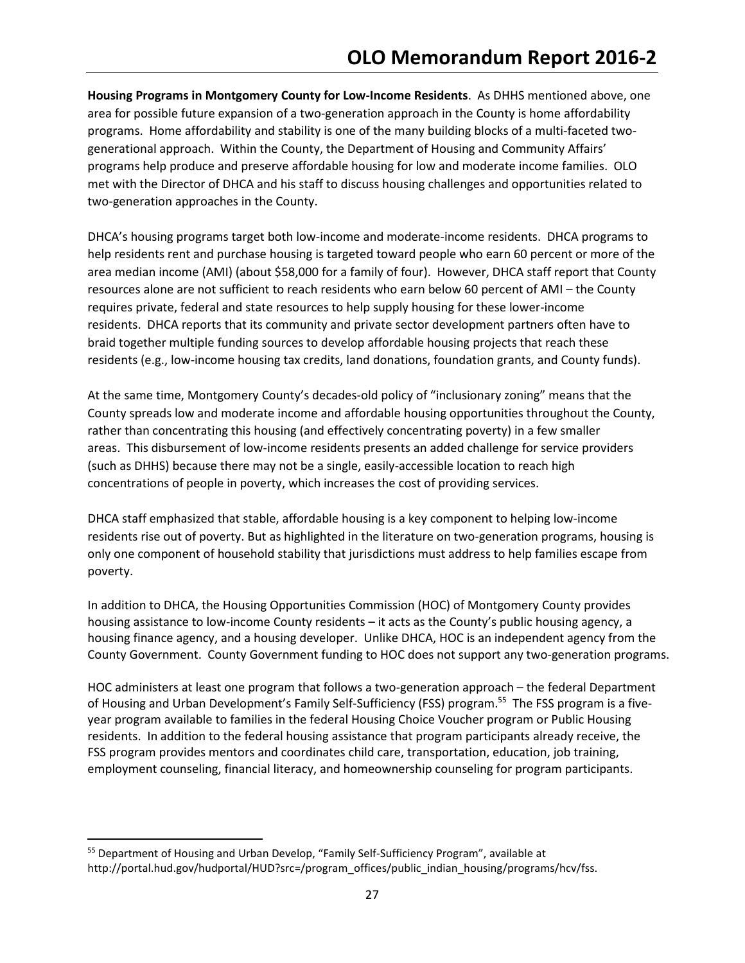Housing Programs in Montgomery County for Low-Income Residents. As DHHS mentioned above, one area for possible future expansion of a two-generation approach in the County is home affordability programs. Home affordability and stability is one of the many building blocks of a multi-faceted twogenerational approach. Within the County, the Department of Housing and Community Affairs' programs help produce and preserve affordable housing for low and moderate income families. OLO met with the Director of DHCA and his staff to discuss housing challenges and opportunities related to two-generation approaches in the County.

DHCA's housing programs target both low-income and moderate-income residents. DHCA programs to help residents rent and purchase housing is targeted toward people who earn 60 percent or more of the area median income (AMI) (about \$58,000 for a family of four). However, DHCA staff report that County resources alone are not sufficient to reach residents who earn below 60 percent of AMI – the County requires private, federal and state resources to help supply housing for these lower-income residents. DHCA reports that its community and private sector development partners often have to braid together multiple funding sources to develop affordable housing projects that reach these residents (e.g., low-income housing tax credits, land donations, foundation grants, and County funds).

At the same time, Montgomery County's decades-old policy of "inclusionary zoning" means that the County spreads low and moderate income and affordable housing opportunities throughout the County, rather than concentrating this housing (and effectively concentrating poverty) in a few smaller areas. This disbursement of low-income residents presents an added challenge for service providers (such as DHHS) because there may not be a single, easily-accessible location to reach high concentrations of people in poverty, which increases the cost of providing services.

DHCA staff emphasized that stable, affordable housing is a key component to helping low-income residents rise out of poverty. But as highlighted in the literature on two-generation programs, housing is only one component of household stability that jurisdictions must address to help families escape from poverty.

In addition to DHCA, the Housing Opportunities Commission (HOC) of Montgomery County provides housing assistance to low-income County residents – it acts as the County's public housing agency, a housing finance agency, and a housing developer. Unlike DHCA, HOC is an independent agency from the County Government. County Government funding to HOC does not support any two-generation programs.

HOC administers at least one program that follows a two-generation approach – the federal Department of Housing and Urban Development's Family Self-Sufficiency (FSS) program.<sup>55</sup> The FSS program is a fiveyear program available to families in the federal Housing Choice Voucher program or Public Housing residents. In addition to the federal housing assistance that program participants already receive, the FSS program provides mentors and coordinates child care, transportation, education, job training, employment counseling, financial literacy, and homeownership counseling for program participants.

<sup>55</sup> Department of Housing and Urban Develop, "Family Self-Sufficiency Program", available at http://portal.hud.gov/hudportal/HUD?src=/program\_offices/public\_indian\_housing/programs/hcv/fss.